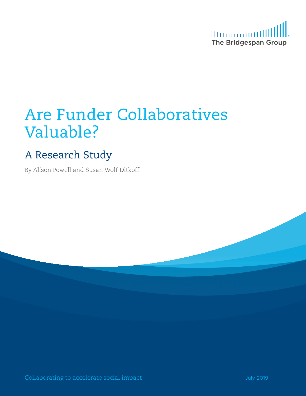

# Are Funder Collaboratives Valuable?

# A Research Study

By Alison Powell and Susan Wolf Ditkoff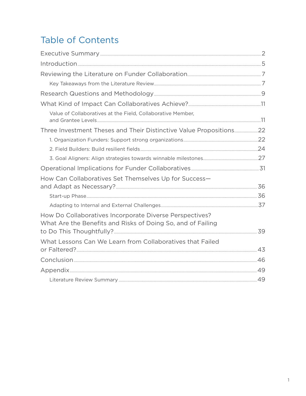# **Table of Contents**

| $Introduction 1.55$                                                                                                    |  |
|------------------------------------------------------------------------------------------------------------------------|--|
|                                                                                                                        |  |
|                                                                                                                        |  |
|                                                                                                                        |  |
|                                                                                                                        |  |
| Value of Collaboratives at the Field, Collaborative Member,                                                            |  |
|                                                                                                                        |  |
|                                                                                                                        |  |
|                                                                                                                        |  |
|                                                                                                                        |  |
|                                                                                                                        |  |
| How Can Collaboratives Set Themselves Up for Success-                                                                  |  |
|                                                                                                                        |  |
|                                                                                                                        |  |
| How Do Collaboratives Incorporate Diverse Perspectives?<br>What Are the Benefits and Risks of Doing So, and of Failing |  |
|                                                                                                                        |  |
| What Lessons Can We Learn from Collaboratives that Failed                                                              |  |
|                                                                                                                        |  |
|                                                                                                                        |  |
|                                                                                                                        |  |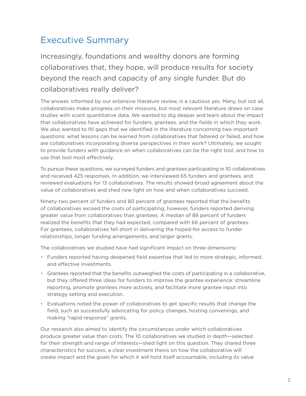### <span id="page-2-0"></span>Executive Summary

Increasingly, foundations and wealthy donors are forming collaboratives that, they hope, will produce results for society beyond the reach and capacity of any single funder. But do collaboratives really deliver?

The answer, informed by our extensive literature review, is a cautious yes. Many, but not all, collaboratives make progress on their missions, but most relevant literature draws on case studies with scant quantitative data. We wanted to dig deeper and learn about the impact that collaboratives have achieved for funders, grantees, and the fields in which they work. We also wanted to fill gaps that we identified in the literature concerning two important questions: what lessons can be learned from collaboratives that faltered or failed, and how are collaboratives incorporating diverse perspectives in their work? Ultimately, we sought to provide funders with guidance on when collaboratives can be the right tool, and how to use that tool most effectively.

To pursue these questions, we surveyed funders and grantees participating in 10 collaboratives and received 425 responses. In addition, we interviewed 65 funders and grantees, and reviewed evaluations for 13 collaboratives. The results showed broad agreement about the value of collaboratives and shed new light on how and when collaboratives succeed.

Ninety-two percent of funders and 80 percent of grantees reported that the benefits of collaboratives exceed the costs of participating; however, funders reported deriving greater value from collaboratives than grantees. A median of 88 percent of funders realized the benefits that they had expected, compared with 66 percent of grantees. For grantees, collaboratives fell short in delivering the hoped-for access to funder relationships, longer funding arrangements, and larger grants.

The collaboratives we studied have had significant impact on three dimensions:

- Funders reported having deepened field expertise that led to more strategic, informed, and effective investments.
- Grantees reported that the benefits outweighed the costs of participating in a collaborative, but they offered three ideas for funders to improve the grantee experience: streamline reporting, promote grantees more actively, and facilitate more grantee input into strategy setting and execution.
- Evaluations noted the power of collaboratives to get specific results that change the field, such as successfully advocating for policy changes, hosting convenings, and making "rapid-response" grants.

Our research also aimed to identify the circumstances under which collaboratives produce greater value than costs. The 10 collaboratives we studied in depth—selected for their strength and range of interests—shed light on this question. They shared three characteristics for success: a clear investment thesis on how the collaborative will create impact and the goals for which it will hold itself accountable, including its value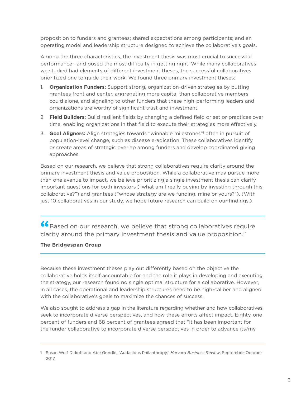proposition to funders and grantees; shared expectations among participants; and an operating model and leadership structure designed to achieve the collaborative's goals.

Among the three characteristics, the investment thesis was most crucial to successful performance—and posed the most difficulty in getting right. While many collaboratives we studied had elements of different investment theses, the successful collaboratives prioritized one to guide their work. We found three primary investment theses:

- 1. **Organization Funders:** Support strong, organization-driven strategies by putting grantees front and center, aggregating more capital than collaborative members could alone, and signaling to other funders that these high-performing leaders and organizations are worthy of significant trust and investment.
- 2. **Field Builders:** Build resilient fields by changing a defined field or set or practices over time, enabling organizations in that field to execute their strategies more effectively.
- 3. **Goal Aligners:** Align strategies towards "winnable milestones"<sup>1</sup> often in pursuit of population-level change, such as disease eradication. These collaboratives identify or create areas of strategic overlap among funders and develop coordinated giving approaches.

Based on our research, we believe that strong collaboratives require clarity around the primary investment thesis and value proposition. While a collaborative may pursue more than one avenue to impact, we believe prioritizing a single investment thesis can clarify important questions for both investors ("what am I really buying by investing through this collaborative?") and grantees ("whose strategy are we funding, mine or yours?"). (With just 10 collaboratives in our study, we hope future research can build on our findings.)

**"**Based on our research, we believe that strong collaboratives require clarity around the primary investment thesis and value proposition."

#### **The Bridgespan Group**

Because these investment theses play out differently based on the objective the collaborative holds itself accountable for and the role it plays in developing and executing the strategy, our research found no single optimal structure for a collaborative. However, in all cases, the operational and leadership structures need to be high-caliber and aligned with the collaborative's goals to maximize the chances of success.

We also sought to address a gap in the literature regarding whether and how collaboratives seek to incorporate diverse perspectives, and how these efforts affect impact. Eighty-one percent of funders and 68 percent of grantees agreed that "it has been important for the funder collaborative to incorporate diverse perspectives in order to advance its/my

<sup>1</sup> Susan Wolf Ditkoff and Abe Grindle, "Audacious Philanthropy," *Harvard Business Review*, September-October 2017.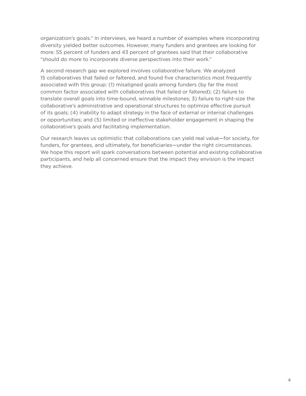organization's goals." In interviews, we heard a number of examples where incorporating diversity yielded better outcomes. However, many funders and grantees are looking for more: 55 percent of funders and 43 percent of grantees said that their collaborative "should do more to incorporate diverse perspectives into their work."

A second research gap we explored involves collaborative failure. We analyzed 15 collaboratives that failed or faltered, and found five characteristics most frequently associated with this group: (1) misaligned goals among funders (by far the most common factor associated with collaboratives that failed or faltered); (2) failure to translate overall goals into time-bound, winnable milestones; 3) failure to right-size the collaborative's administrative and operational structures to optimize effective pursuit of its goals; (4) inability to adapt strategy in the face of external or internal challenges or opportunities; and (5) limited or ineffective stakeholder engagement in shaping the collaborative's goals and facilitating implementation.

Our research leaves us optimistic that collaborations can yield real value—for society, for funders, for grantees, and ultimately, for beneficiaries—under the right circumstances. We hope this report will spark conversations between potential and existing collaborative participants, and help all concerned ensure that the impact they envision is the impact they achieve.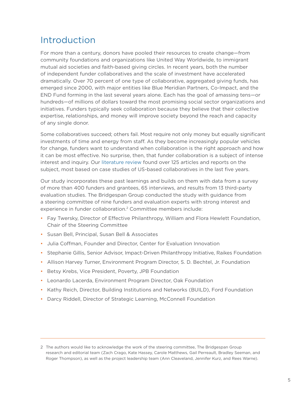### <span id="page-5-0"></span>Introduction

For more than a century, donors have pooled their resources to create change—from community foundations and organizations like United Way Worldwide, to immigrant mutual aid societies and faith-based giving circles. In recent years, both the number of independent funder collaboratives and the scale of investment have accelerated dramatically. Over 70 percent of one type of collaborative, aggregated giving funds, has emerged since 2000, with major entities like Blue Meridian Partners, Co-Impact, and the END Fund forming in the last several years alone. Each has the goal of amassing tens—or hundreds—of millions of dollars toward the most promising social sector organizations and initiatives. Funders typically seek collaboration because they believe that their collective expertise, relationships, and money will improve society beyond the reach and capacity of any single donor.

Some collaboratives succeed; others fail. Most require not only money but equally significant investments of time and energy from staff. As they become increasingly popular vehicles for change, funders want to understand when collaboration is the right approach and how it can be most effective. No surprise, then, that funder collaboration is a subject of intense interest and inquiry. Our [literature review](https://www.bridgespan.org/bridgespan/Images/articles/value-of-collaboration-study-2019/bridgespan-2019-value-of-philanthropic-collaboration-study-literature-review.pdf) found over 125 articles and reports on the subject, most based on case studies of US-based collaboratives in the last five years.

Our study incorporates these past learnings and builds on them with data from a survey of more than 400 funders and grantees, 65 interviews, and results from 13 third-party evaluation studies. The Bridgespan Group conducted the study with guidance from a steering committee of nine funders and evaluation experts with strong interest and experience in funder collaboration. 2 Committee members include:

- Fay Twersky, Director of Effective Philanthropy, William and Flora Hewlett Foundation, Chair of the Steering Committee
- Susan Bell, Principal, Susan Bell & Associates
- Julia Coffman, Founder and Director, Center for Evaluation Innovation
- Stephanie Gillis, Senior Advisor, Impact-Driven Philanthropy Initiative, Raikes Foundation
- Allison Harvey Turner, Environment Program Director, S. D. Bechtel, Jr. Foundation
- Betsy Krebs, Vice President, Poverty, JPB Foundation
- Leonardo Lacerda, Environment Program Director, Oak Foundation
- Kathy Reich, Director, Building Institutions and Networks (BUILD), Ford Foundation
- Darcy Riddell, Director of Strategic Learning, McConnell Foundation

<sup>2</sup> The authors would like to acknowledge the work of the steering committee, The Bridgespan Group research and editorial team (Zach Crago, Kate Hassey, Carole Matthews, Gail Perreault, Bradley Seeman, and Roger Thompson), as well as the project leadership team (Ann Cleaveland, Jennifer Kurz, and Rees Warne).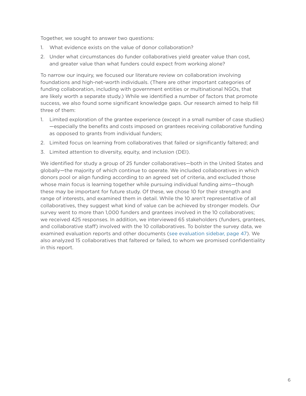Together, we sought to answer two questions:

- 1. What evidence exists on the value of donor collaboration?
- 2. Under what circumstances do funder collaboratives yield greater value than cost, and greater value than what funders could expect from working alone?

To narrow our inquiry, we focused our literature review on collaboration involving foundations and high-net-worth individuals. (There are other important categories of funding collaboration, including with government entities or multinational NGOs, that are likely worth a separate study.) While we identified a number of factors that promote success, we also found some significant knowledge gaps. Our research aimed to help fill three of them:

- 1. Limited exploration of the grantee experience (except in a small number of case studies) —especially the benefits and costs imposed on grantees receiving collaborative funding as opposed to grants from individual funders;
- 2. Limited focus on learning from collaboratives that failed or significantly faltered; and
- 3. Limited attention to diversity, equity, and inclusion (DEI).

We identified for study a group of 25 funder collaboratives—both in the United States and globally—the majority of which continue to operate. We included collaboratives in which donors pool or align funding according to an agreed set of criteria, and excluded those whose main focus is learning together while pursuing individual funding aims—though these may be important for future study. Of these, we chose 10 for their strength and range of interests, and examined them in detail. While the 10 aren't representative of all collaboratives, they suggest what kind of value can be achieved by stronger models. Our survey went to more than 1,000 funders and grantees involved in the 10 collaboratives; we received 425 responses. In addition, we interviewed 65 stakeholders (funders, grantees, and collaborative staff) involved with the 10 collaboratives. To bolster the survey data, we examined evaluation reports and other documents ([see evaluation sidebar, page 47](#page-47-0)). We also analyzed 15 collaboratives that faltered or failed, to whom we promised confidentiality in this report.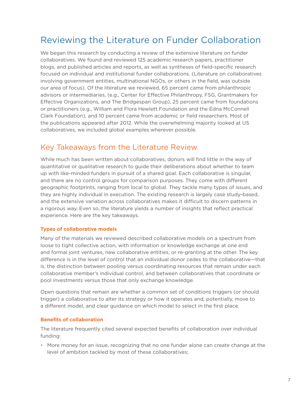### <span id="page-7-0"></span>Reviewing the Literature on Funder Collaboration

We began this research by conducting a review of the extensive literature on funder collaboratives. We found and reviewed 125 academic research papers, practitioner blogs, and published articles and reports, as well as syntheses of field-specific research focused on individual and institutional funder collaborations. (Literature on collaboratives involving government entities, multinational NGOs, or others in the field, was outside our area of focus). Of the literature we reviewed, 65 percent came from philanthropic advisors or intermediaries, (e.g., Center for Effective Philanthropy, FSG, Grantmakers for Effective Organizations, and The Bridgespan Group), 25 percent came from foundations or practitioners (e.g., William and Flora Hewlett Foundation and the Edna McConnell Clark Foundation), and 10 percent came from academic or field researchers. Most of the publications appeared after 2012. While the overwhelming majority looked at US collaboratives, we included global examples wherever possible.

### Key Takeaways from the Literature Review

While much has been written about collaboratives, donors will find little in the way of quantitative or qualitative research to guide their deliberations about whether to team up with like-minded funders in pursuit of a shared goal. Each collaborative is singular, and there are no control groups for comparison purposes. They come with different geographic footprints, ranging from local to global. They tackle many types of issues, and they are highly individual in execution. The existing research is largely case study-based, and the extensive variation across collaboratives makes it difficult to discern patterns in a rigorous way. Even so, the literature yields a number of insights that reflect practical experience. Here are the key takeaways.

#### **Types of collaborative models**

Many of the materials we reviewed described collaborative models on a spectrum from loose to tight collective action, with information or knowledge exchange at one end and formal joint ventures, new collaborative entities, or re-granting at the other. The key difference is in the level of control that an individual donor cedes to the collaborative—that is, the distinction between pooling versus coordinating resources that remain under each collaborative member's individual control, and between collaboratives that coordinate or pool investments versus those that only exchange knowledge.

Open questions that remain are whether a common set of conditions triggers (or should trigger) a collaborative to alter its strategy or how it operates and, potentially, move to a different model, and clear guidance on which model to select in the first place.

#### **Benefits of collaboration**

The literature frequently cited several expected benefits of collaboration over individual funding:

• More money for an issue, recognizing that no one funder alone can create change at the level of ambition tackled by most of these collaboratives;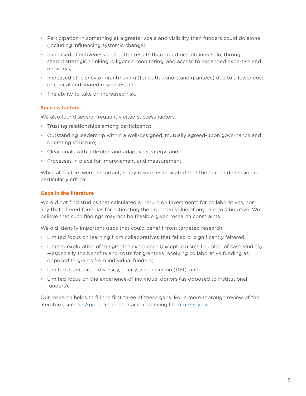- Participation in something at a greater scale and visibility than funders could do alone (including influencing systemic change);
- Increased effectiveness and better results than could be obtained solo, through shared strategic thinking, diligence, monitoring, and access to expanded expertise and networks;
- Increased efficiency of grantmaking (for both donors and grantees) due to a lower cost of capital and shared resources; and
- The ability to take on increased risk.

#### **Success factors**

We also found several frequently cited success factors:

- Trusting relationships among participants;
- Outstanding leadership within a well-designed, mutually agreed-upon governance and operating structure;
- Clear goals with a flexible and adaptive strategy; and
- Processes in place for improvement and measurement.

While all factors were important, many resources indicated that the human dimension is particularly critical.

#### **Gaps in the literature**

We did not find studies that calculated a "return on investment" for collaboratives, nor any that offered formulas for estimating the expected value of any one collaborative. We believe that such findings may not be feasible given research constraints.

We did identify important gaps that could benefit from targeted research:

- Limited focus on learning from collaboratives that failed or significantly faltered;
- Limited exploration of the grantee experience (except in a small number of case studies) —especially the benefits and costs for grantees receiving collaborative funding as opposed to grants from individual funders;
- Limited attention to diversity, equity, and inclusion (DEI); and
- Limited focus on the experience of individual donors (as opposed to institutional funders).

Our research helps to fill the first three of these gaps. For a more thorough review of the literature, see the [Appendix](#page-49-1) and our accompanying l[iterature review](https://www.bridgespan.org/bridgespan/Images/articles/value-of-collaboration-study-2019/bridgespan-2019-value-of-philanthropic-collaboration-study-literature-review.pdf).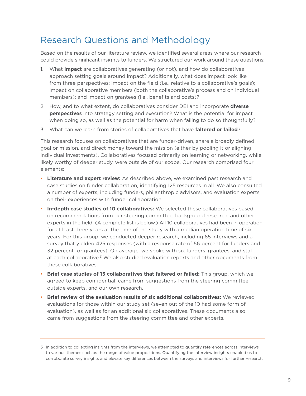### <span id="page-9-0"></span>Research Questions and Methodology

Based on the results of our literature review, we identified several areas where our research could provide significant insights to funders. We structured our work around these questions:

- 1. What **impact** are collaboratives generating (or not), and how do collaboratives approach setting goals around impact? Additionally, what does impact look like from three perspectives: impact on the field (i.e., relative to a collaborative's goals); impact on collaborative members (both the collaborative's process and on individual members); and impact on grantees (i.e., benefits and costs)?
- 2. How, and to what extent, do collaboratives consider DEI and incorporate **diverse perspectives** into strategy setting and execution? What is the potential for impact when doing so, as well as the potential for harm when failing to do so thoughtfully?
- 3. What can we learn from stories of collaboratives that have **faltered or failed**?

This research focuses on collaboratives that are funder-driven, share a broadly defined goal or mission, and direct money toward the mission (either by pooling it or aligning individual investments). Collaboratives focused primarily on learning or networking, while likely worthy of deeper study, were outside of our scope. Our research comprised four elements:

- **Literature and expert review:** As described above, we examined past research and case studies on funder collaboration, identifying 125 resources in all. We also consulted a number of experts, including funders, philanthropic advisors, and evaluation experts, on their experiences with funder collaboration.
- **In-depth case studies of 10 collaboratives:** We selected these collaboratives based on recommendations from our steering committee, background research, and other experts in the field. (A complete list is below.) All 10 collaboratives had been in operation for at least three years at the time of the study with a median operation time of six years. For this group, we conducted deeper research, including 65 interviews and a survey that yielded 425 responses (with a response rate of 56 percent for funders and 32 percent for grantees). On average, we spoke with six funders, grantees, and staff at each collaborative. 3 We also studied evaluation reports and other documents from these collaboratives.
- **Brief case studies of 15 collaboratives that faltered or failed:** This group, which we agreed to keep confidential, came from suggestions from the steering committee, outside experts, and our own research.
- **Brief review of the evaluation results of six additional collaboratives:** We reviewed evaluations for those within our study set (seven out of the 10 had some form of evaluation), as well as for an additional six collaboratives. These documents also came from suggestions from the steering committee and other experts.

<sup>3</sup> In addition to collecting insights from the interviews, we attempted to quantify references across interviews to various themes such as the range of value propositions. Quantifying the interview insights enabled us to corroborate survey insights and elevate key differences between the surveys and interviews for further research.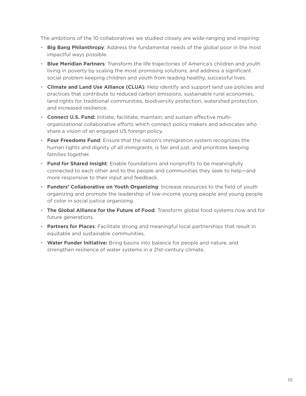The ambitions of the 10 collaboratives we studied closely are wide-ranging and inspiring:

- **Big Bang Philanthropy:** Address the fundamental needs of the global poor in the most impactful ways possible.
- **Blue Meridian Partners**: Transform the life trajectories of America's children and youth living in poverty by scaling the most promising solutions, and address a significant social problem keeping children and youth from leading healthy, successful lives.
- **Climate and Land Use Alliance (CLUA)**: Help identify and support land use policies and practices that contribute to reduced carbon emissions, sustainable rural economies, land rights for traditional communities, biodiversity protection, watershed protection, and increased resilience.
- **Connect U.S. Fund:** Initiate, facilitate, maintain, and sustain effective multiorganizational collaborative efforts which connect policy makers and advocates who share a vision of an engaged US foreign policy.
- **Four Freedoms Fund**: Ensure that the nation's immigration system recognizes the human rights and dignity of all immigrants, is fair and just, and prioritizes keeping families together.
- **Fund for Shared Insight**: Enable foundations and nonprofits to be meaningfully connected to each other and to the people and communities they seek to help—and more responsive to their input and feedback.
- **Funders' Collaborative on Youth Organizing**: Increase resources to the field of youth organizing and promote the leadership of low-income young people and young people of color in social justice organizing.
- **The Global Alliance for the Future of Food**: Transform global food systems now and for future generations.
- **Partners for Places**: Facilitate strong and meaningful local partnerships that result in equitable and sustainable communities.
- **Water Funder Initiative:** Bring basins into balance for people and nature, and strengthen resilience of water systems in a 21st-century climate.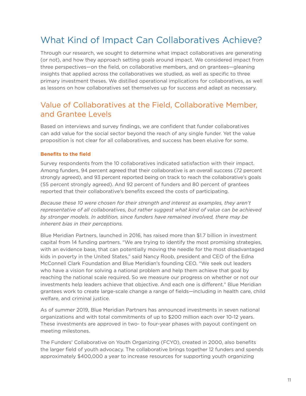# <span id="page-11-0"></span>What Kind of Impact Can Collaboratives Achieve?

Through our research, we sought to determine what impact collaboratives are generating (or not), and how they approach setting goals around impact. We considered impact from three perspectives—on the field, on collaborative members, and on grantees—gleaning insights that applied across the collaboratives we studied, as well as specific to three primary investment theses. We distilled operational implications for collaboratives, as well as lessons on how collaboratives set themselves up for success and adapt as necessary.

### Value of Collaboratives at the Field, Collaborative Member, and Grantee Levels

Based on interviews and survey findings, we are confident that funder collaboratives can add value for the social sector beyond the reach of any single funder. Yet the value proposition is not clear for all collaboratives, and success has been elusive for some.

#### **Benefits to the field**

Survey respondents from the 10 collaboratives indicated satisfaction with their impact. Among funders, 94 percent agreed that their collaborative is an overall success (72 percent strongly agreed), and 93 percent reported being on track to reach the collaborative's goals (55 percent strongly agreed). And 92 percent of funders and 80 percent of grantees reported that their collaborative's benefits exceed the costs of participating.

*Because these 10 were chosen for their strength and interest as examples, they aren't representative of all collaboratives, but rather suggest what kind of value can be achieved by stronger models. In addition, since funders have remained involved, there may be inherent bias in their perceptions.* 

Blue Meridian Partners, launched in 2016, has raised more than \$1.7 billion in investment capital from 14 funding partners. "We are trying to identify the most promising strategies, with an evidence base, that can potentially moving the needle for the most disadvantaged kids in poverty in the United States," said Nancy Roob, president and CEO of the Edna McConnell Clark Foundation and Blue Meridian's founding CEO. "We seek out leaders who have a vision for solving a national problem and help them achieve that goal by reaching the national scale required. So we measure our progress on whether or not our investments help leaders achieve that objective. And each one is different." Blue Meridian grantees work to create large-scale change a range of fields—including in health care, child welfare, and criminal justice.

As of summer 2019, Blue Meridian Partners has announced investments in seven national organizations and with total commitments of up to \$200 million each over 10-12 years. These investments are approved in two- to four-year phases with payout contingent on meeting milestones.

The Funders' Collaborative on Youth Organizing (FCYO), created in 2000, also benefits the larger field of youth advocacy. The collaborative brings together 12 funders and spends approximately \$400,000 a year to increase resources for supporting youth organizing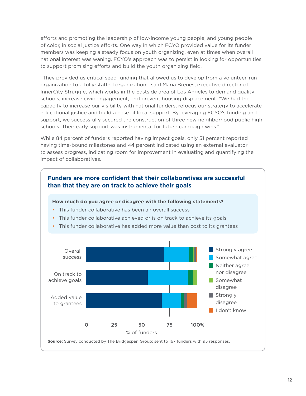efforts and promoting the leadership of low-income young people, and young people of color, in social justice efforts. One way in which FCYO provided value for its funder members was keeping a steady focus on youth organizing, even at times when overall national interest was waning. FCYO's approach was to persist in looking for opportunities to support promising efforts and build the youth organizing field.

"They provided us critical seed funding that allowed us to develop from a volunteer-run organization to a fully-staffed organization," said Maria Brenes, executive director of InnerCity Struggle, which works in the Eastside area of Los Angeles to demand quality schools, increase civic engagement, and prevent housing displacement. "We had the capacity to increase our visibility with national funders, refocus our strategy to accelerate educational justice and build a base of local support. By leveraging FCYO's funding and support, we successfully secured the construction of three new neighborhood public high schools. Their early support was instrumental for future campaign wins."

While 84 percent of funders reported having impact goals, only 51 percent reported having time-bound milestones and 44 percent indicated using an external evaluator to assess progress, indicating room for improvement in evaluating and quantifying the impact of collaboratives.

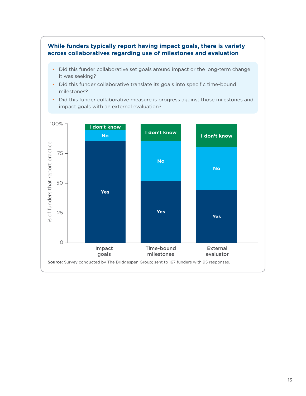#### **While funders typically report having impact goals, there is variety across collaboratives regarding use of milestones and evaluation**

- Did this funder collaborative set goals around impact or the long-term change it was seeking?
- Did this funder collaborative translate its goals into specific time-bound milestones?
- Did this funder collaborative measure is progress against those milestones and impact goals with an external evaluation?

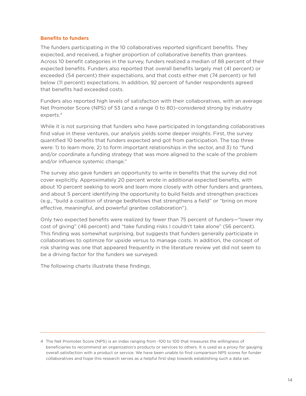#### **Benefits to funders**

The funders participating in the 10 collaboratives reported significant benefits. They expected, and received, a higher proportion of collaborative benefits than grantees. Across 10 benefit categories in the survey, funders realized a median of 88 percent of their expected benefits. Funders also reported that overall benefits largely met (41 percent) or exceeded (54 percent) their expectations, and that costs either met (74 percent) or fell below (11 percent) expectations. In addition, 92 percent of funder respondents agreed that benefits had exceeded costs.

Funders also reported high levels of satisfaction with their collaboratives, with an average Net Promoter Score (NPS) of 53 (and a range 0 to 80)–considered strong by industry experts. 4

While it is not surprising that funders who have participated in longstanding collaboratives find value in these ventures, our analysis yields some deeper insights. First, the survey quantified 10 benefits that funders expected and got from participation. The top three were: 1) to learn more, 2) to form important relationships in the sector, and 3) to "fund and/or coordinate a funding strategy that was more aligned to the scale of the problem and/or influence systemic change."

The survey also gave funders an opportunity to write in benefits that the survey did not cover explicitly. Approximately 20 percent wrote in additional expected benefits, with about 10 percent seeking to work and learn more closely with other funders and grantees, and about 5 percent identifying the opportunity to build fields and strengthen practices (e.g., "build a coalition of strange bedfellows that strengthens a field" or "bring on more effective, meaningful, and powerful grantee collaboration").

Only two expected benefits were realized by fewer than 75 percent of funders—"lower my cost of giving" (46 percent) and "take funding risks I couldn't take alone" (56 percent). This finding was somewhat surprising, but suggests that funders generally participate in collaboratives to optimize for upside versus to manage costs. In addition, the concept of risk sharing was one that appeared frequently in the literature review yet did not seem to be a driving factor for the funders we surveyed.

The following charts illustrate these findings.

<sup>4</sup> The Net Promoter Score (NPS) is an index ranging from -100 to 100 that measures the willingness of beneficiaries to recommend an organization's products or services to others. It is used as a proxy for gauging overall satisfaction with a product or service. We have been unable to find comparison NPS scores for funder collaboratives and hope this research serves as a helpful first step towards establishing such a data set.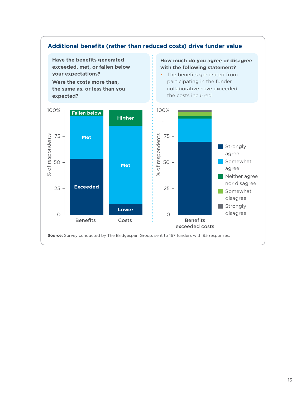<span id="page-15-0"></span>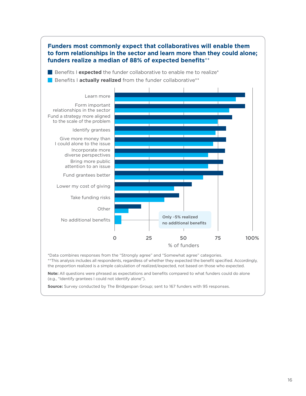

\*Data combines responses from the "Strongly agree" and "Somewhat agree" categories. \*\*This analysis includes all respondents, regardless of whether they expected the benefit specified. Accordingly, the proportion realized is a simple calculation of realized/expected, not based on those who expected.

**Note:** All questions were phrased as expectations and benefits compared to what funders could do alone (e.g., "Identify grantees I could not identify alone").

**Source:** Survey conducted by The Bridgespan Group; sent to 167 funders with 95 responses.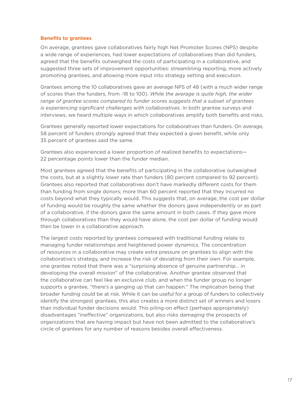#### **Benefits to grantees**

On average, grantees gave collaboratives fairly high Net Promoter Scores (NPS) despite a wide range of experiences, had lower expectations of collaboratives than did funders, agreed that the benefits outweighed the costs of participating in a collaborative, and suggested three sets of improvement opportunities: streamlining reporting, more actively promoting grantees, and allowing more input into strategy setting and execution.

Grantees among the 10 collaboratives gave an average NPS of 48 (with a much wider range of scores than the funders, from -18 to 100). *While the average is quite high, the wider range of grantee scores compared to funder scores suggests that a subset of grantees is experiencing significant challenges with collaboratives.* In both grantee surveys and interviews, we heard multiple ways in which collaboratives amplify both benefits and risks.

Grantees generally reported lower expectations for collaboratives than funders. On average, 58 percent of funders strongly agreed that they expected a given benefit, while only 35 percent of grantees said the same.

Grantees also experienced a lower proportion of realized benefits to expectations— 22 percentage points lower than the funder median.

Most grantees agreed that the benefits of participating in the collaborative outweighed the costs, but at a slightly lower rate than funders (80 percent compared to 92 percent). Grantees also reported that collaboratives don't have markedly different costs for them than funding from single donors; more than 60 percent reported that they incurred no costs beyond what they typically would. This suggests that, on average, the cost per dollar of funding would be roughly the same whether the donors gave independently or as part of a collaborative, if the donors gave the same amount in both cases. If they gave more through collaboratives than they would have alone, the cost per dollar of funding would then be lower in a collaborative approach.

The largest costs reported by grantees compared with traditional funding relate to managing funder relationships and heightened power dynamics. The concentration of resources in a collaborative may create extra pressure on grantees to align with the collaborative's strategy, and increase the risk of deviating from their own. For example, one grantee noted that there was a "surprising absence of genuine partnership… in developing the overall mission" of the collaborative. Another grantee observed that the collaborative can feel like an exclusive club, and when the funder group no longer supports a grantee, "there's a ganging up that can happen." The implication being that broader funding could be at risk. While it can be useful for a group of funders to collectively identify the strongest grantees, this also creates a more distinct set of winners and losers than individual funder decisions would. This piling-on effect (perhaps appropriately) disadvantages "ineffective" organizations, but also risks damaging the prospects of organizations that are having impact but have not been admitted to the collaborative's circle of grantees for any number of reasons besides overall effectiveness.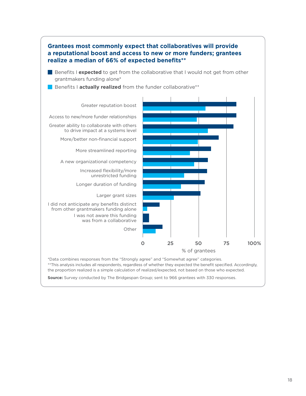

**Source:** Survey conducted by The Bridgespan Group; sent to 966 grantees with 330 responses.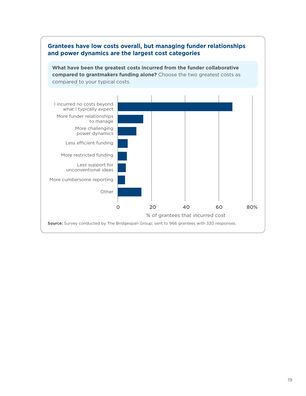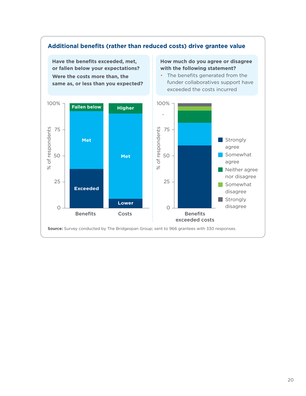

#### 20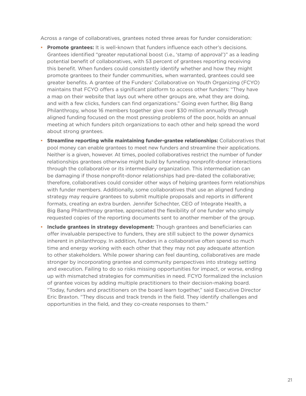Across a range of collaboratives, grantees noted three areas for funder consideration:

- **Promote grantees:** It is well-known that funders influence each other's decisions. Grantees identified "greater reputational boost (i.e., 'stamp of approval')" as a leading potential benefit of collaboratives, with 53 percent of grantees reporting receiving this benefit. When funders could consistently identify whether and how they might promote grantees to their funder communities, when warranted, grantees could see greater benefits. A grantee of the Funders' Collaborative on Youth Organizing (FCYO) maintains that FCYO offers a significant platform to access other funders: "They have a map on their website that lays out where other groups are, what they are doing, and with a few clicks, funders can find organizations." Going even further, Big Bang Philanthropy, whose 16 members together give over \$30 million annually through aligned funding focused on the most pressing problems of the poor, holds an annual meeting at which funders pitch organizations to each other and help spread the word about strong grantees.
- **Streamline reporting while maintaining funder-grantee relationships:** Collaboratives that pool money can enable grantees to meet new funders and streamline their applications. Neither is a given, however. At times, pooled collaboratives restrict the number of funder relationships grantees otherwise might build by funneling nonprofit-donor interactions through the collaborative or its intermediary organization. This intermediation can be damaging if those nonprofit-donor relationships had pre-dated the collaborative; therefore, collaboratives could consider other ways of helping grantees form relationships with funder members. Additionally, some collaboratives that use an aligned funding strategy may require grantees to submit multiple proposals and reports in different formats, creating an extra burden. Jennifer Schechter, CEO of Integrate Health, a Big Bang Philanthropy grantee, appreciated the flexibility of one funder who simply requested copies of the reporting documents sent to another member of the group.
- **Include grantees in strategy development:** Though grantees and beneficiaries can offer invaluable perspective to funders, they are still subject to the power dynamics inherent in philanthropy. In addition, funders in a collaborative often spend so much time and energy working with each other that they may not pay adequate attention to other stakeholders. While power sharing can feel daunting, collaboratives are made stronger by incorporating grantee and community perspectives into strategy setting and execution. Failing to do so risks missing opportunities for impact, or worse, ending up with mismatched strategies for communities in need. FCYO formalized the inclusion of grantee voices by adding multiple practitioners to their decision-making board. "Today, funders and practitioners on the board learn together," said Executive Director Eric Braxton. "They discuss and track trends in the field. They identify challenges and opportunities in the field, and they co-create responses to them."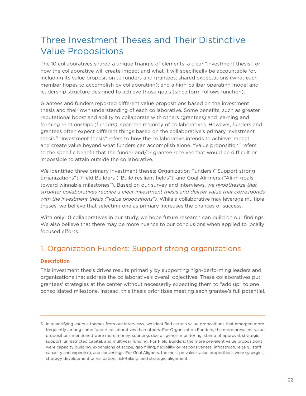# <span id="page-22-0"></span>Three Investment Theses and Their Distinctive Value Propositions

The 10 collaboratives shared a unique triangle of elements: a clear "investment thesis," or how the collaborative will create impact and what it will specifically be accountable for, including its value proposition to funders and grantees; shared expectations (what each member hopes to accomplish by collaborating); and a high-caliber operating model and leadership structure designed to achieve those goals (since form follows function).

Grantees and funders reported different value propositions based on the investment thesis and their own understanding of each collaborative. Some benefits, such as greater reputational boost and ability to collaborate with others (grantees) and learning and forming relationships (funders), span the majority of collaboratives. However, funders and grantees often expect different things based on the collaborative's primary investment thesis. 5 "Investment thesis" refers to how the collaborative intends to achieve impact and create value beyond what funders can accomplish alone. "Value proposition" refers to the specific benefit that the funder and/or grantee receives that would be difficult or impossible to attain outside the collaborative.

We identified three primary investment theses: Organization Funders ("Support strong organizations"); Field Builders ("Build resilient fields"); and Goal Aligners ("Align goals toward winnable milestones"). Based on our survey and interviews, *we hypothesize that stronger collaboratives require a clear investment thesis and deliver value that corresponds with the investment thesis ("value propositions").* While a collaborative may leverage multiple theses, we believe that selecting one as primary increases the chances of success.

With only 10 collaboratives in our study, we hope future research can build on our findings. We also believe that there may be more nuance to our conclusions when applied to locally focused efforts.

### 1. Organization Funders: Support strong organizations

#### **Description**

This investment thesis drives results primarily by supporting high-performing leaders and organizations that address the collaborative's overall objectives. These collaboratives put grantees' strategies at the center without necessarily expecting them to "add up" to one consolidated milestone. Instead, this thesis prioritizes meeting each grantee's full potential.

<sup>5</sup> In quantifying various themes from our interviews, we identified certain value propositions that emerged more frequently among some funder collaboratives than others. For Organization Funders, the more prevalent value propositions mentioned were more money, sourcing, due diligence, monitoring, stamp of approval, strategic support, unrestricted capital, and multiyear funding. For Field Builders, the more prevalent value propositions were capacity building, expansions of scope, gap filling, flexibility or responsiveness, infrastructure (e.g., staff capacity and expertise), and convenings. For Goal Aligners, the most prevalent value propositions were synergies, strategy development or validation, risk-taking, and strategic alignment.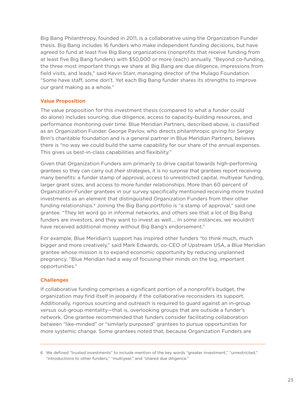Big Bang Philanthropy, founded in 2011, is a collaborative using the Organization Funder thesis. Big Bang includes 16 funders who make independent funding decisions, but have agreed to fund at least five Big Bang organizations (nonprofits that receive funding from at least five Big Bang funders) with \$50,000 or more (each) annually. "Beyond co-funding, the three most important things we share at Big Bang are due diligence, impressions from field visits, and leads," said Kevin Starr, managing director of the Mulago Foundation. "Some have staff, some don't. Yet each Big Bang funder shares its strengths to improve our grant making as a whole."

#### **Value Proposition**

The value proposition for this investment thesis (compared to what a funder could do alone) includes sourcing, due diligence, access to capacity-building resources, and performance monitoring over time. Blue Meridian Partners, described above, is classified as an Organization Funder. George Pavlov, who directs philanthropic giving for Sergey Brin's charitable foundation and is a general partner in Blue Meridian Partners, believes there is "no way we could build the same capability for our share of the annual expenses. This gives us best-in-class capabilities and flexibility."

Given that Organization Funders aim primarily to drive capital towards high-performing grantees so they can carry out *their* strategies, it is no surprise that grantees report receiving many benefits: a funder stamp of approval, access to unrestricted capital, multiyear funding, larger grant sizes, and access to more funder relationships. More than 60 percent of Organization-Funder grantees in our survey specifically mentioned receiving more trusted investments as an element that distinguished Organization Funders from their other funding relationships.<sup>6</sup> Joining the Big Bang portfolio is "a stamp of approval," said one grantee. "They let word go in informal networks, and others see that a lot of Big Bang funders are investors, and they want to invest as well.… In some instances, we wouldn't have received additional money without Big Bang's endorsement."

For example, Blue Meridian's support has inspired other funders "to think much, much bigger and more creatively," said Mark Edwards, co-CEO of Upstream USA, a Blue Meridian grantee whose mission is to expand economic opportunity by reducing unplanned pregnancy. "Blue Meridian had a way of focusing their minds on the big, important opportunities."

#### **Challenges**

If collaborative funding comprises a significant portion of a nonprofit's budget, the organization may find itself in jeopardy if the collaborative reconsiders its support. Additionally, rigorous sourcing and outreach is required to guard against an in-group versus out-group mentality—that is, overlooking groups that are outside a funder's network. One grantee recommended that funders consider facilitating collaboration between "like-minded" or "similarly purposed" grantees to pursue opportunities for more systemic change. Some grantees noted that, because Organization Funders are

<sup>6</sup> We defined "trusted investments" to include mention of the key words "greater investment," "unrestricted," "introductions to other funders," "multiyear," and "shared due diligence."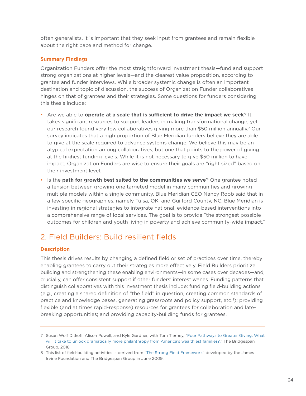<span id="page-24-0"></span>often generalists, it is important that they seek input from grantees and remain flexible about the right pace and method for change.

#### **Summary Findings**

Organization Funders offer the most straightforward investment thesis—fund and support strong organizations at higher levels—and the clearest value proposition, according to grantee and funder interviews. While broader systemic change is often an important destination and topic of discussion, the success of Organization Funder collaboratives hinges on that of grantees and their strategies. Some questions for funders considering this thesis include:

- Are we able to **operate at a scale that is sufficient to drive the impact we seek**? It takes significant resources to support leaders in making transformational change, yet our research found very few collaboratives giving more than \$50 million annually.<sup>7</sup> Our survey indicates that a high proportion of Blue Meridian funders believe they are able to give at the scale required to advance systems change. We believe this may be an atypical expectation among collaboratives, but one that points to the power of giving at the highest funding levels. While it is not necessary to give \$50 million to have impact, Organization Funders are wise to ensure their goals are "right sized" based on their investment level.
- Is the **path for growth best suited to the communities we serve**? One grantee noted a tension between growing one targeted model in many communities and growing multiple models within a single community. Blue Meridian CEO Nancy Roob said that in a few specific geographies, namely Tulsa, OK, and Guilford County, NC, Blue Meridian is investing in regional strategies to integrate national, evidence-based interventions into a comprehensive range of local services. The goal is to provide "the strongest possible outcomes for children and youth living in poverty and achieve community-wide impact."

### 2. Field Builders: Build resilient fields

#### **Description**

This thesis drives results by changing a defined field or set of practices over time, thereby enabling grantees to carry out their strategies more effectively. Field Builders prioritize building and strengthening these enabling environments—in some cases over decades—and, crucially, can offer consistent support if other funders' interest wanes. Funding patterns that distinguish collaboratives with this investment thesis include: funding field-building actions (e.g., creating a shared definition of "the field" in question, creating common standards of practice and knowledge bases, generating grassroots and policy support, etc. 8); providing flexible (and at times rapid-response) resources for grantees for collaboration and latebreaking opportunities; and providing capacity-building funds for grantees.

<sup>7</sup> Susan Wolf Ditkoff, Alison Powell, and Kyle Gardner, with Tom Tierney, "[Four Pathways to Greater Giving: What](https://www.bridgespan.org/bridgespan/Images/articles/four-pathways-to-greater-philanthropy/four-pathways-to-greater-giving-no-appendix.pdf?ext=.pdf)  [will it take to unlock dramatically more philanthropy from America's wealthiest families?,](https://www.bridgespan.org/bridgespan/Images/articles/four-pathways-to-greater-philanthropy/four-pathways-to-greater-giving-no-appendix.pdf?ext=.pdf)" The Bridgespan Group, 2018.

<sup>8</sup> This list of field-building activities is derived from "[The Strong Field Framework"](https://irvine-dot-org.s3.amazonaws.com/documents/64/attachments/strongfieldframework.pdf?1412656138) developed by the James Irvine Foundation and The Bridgespan Group in June 2009.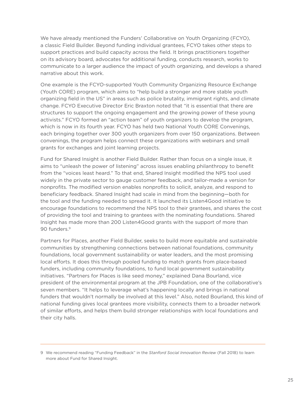We have already mentioned the Funders' Collaborative on Youth Organizing (FCYO), a classic Field Builder. Beyond funding individual grantees, FCYO takes other steps to support practices and build capacity across the field. It brings practitioners together on its advisory board, advocates for additional funding, conducts research, works to communicate to a larger audience the impact of youth organizing, and develops a shared narrative about this work.

One example is the FCYO-supported Youth Community Organizing Resource Exchange (Youth CORE) program, which aims to "help build a stronger and more stable youth organizing field in the US" in areas such as police brutality, immigrant rights, and climate change. FCYO Executive Director Eric Braxton noted that "it is essential that there are structures to support the ongoing engagement and the growing power of these young activists." FCYO formed an "action team" of youth organizers to develop the program, which is now in its fourth year. FCYO has held two National Youth CORE Convenings, each bringing together over 300 youth organizers from over 150 organizations. Between convenings, the program helps connect these organizations with webinars and small grants for exchanges and joint learning projects.

Fund for Shared Insight is another Field Builder. Rather than focus on a single issue, it aims to "unleash the power of listening" across issues enabling philanthropy to benefit from the "voices least heard." To that end, Shared Insight modified the NPS tool used widely in the private sector to gauge customer feedback, and tailor-made a version for nonprofits. The modified version enables nonprofits to solicit, analyze, and respond to beneficiary feedback. Shared Insight had scale in mind from the beginning—both for the tool and the funding needed to spread it. It launched its Listen4Good initiative to encourage foundations to recommend the NPS tool to their grantees, and shares the cost of providing the tool and training to grantees with the nominating foundations. Shared Insight has made more than 200 Listen4Good grants with the support of more than 90 funders. 9

Partners for Places, another Field Builder, seeks to build more equitable and sustainable communities by strengthening connections between national foundations, community foundations, local government sustainability or water leaders, and the most promising local efforts. It does this through pooled funding to match grants from place-based funders, including community foundations, to fund local government sustainability initiatives. "Partners for Places is like seed money," explained Dana Bourland, vice president of the environmental program at the JPB Foundation, one of the collaborative's seven members. "It helps to leverage what's happening locally and brings in national funders that wouldn't normally be involved at this level." Also, noted Bourland, this kind of national funding gives local grantees more visibility, connects them to a broader network of similar efforts, and helps them build stronger relationships with local foundations and their city halls.

<sup>9</sup> We recommend reading "Funding Feedback" in the *Stanford Social Innovation Review* (Fall 2018) to learn more about Fund for Shared Insight.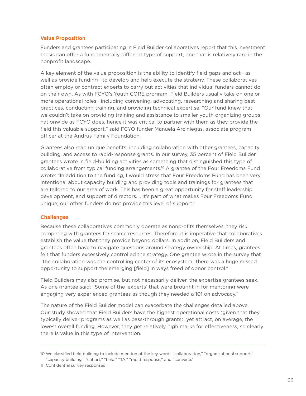#### **Value Proposition**

Funders and grantees participating in Field Builder collaboratives report that this investment thesis can offer a fundamentally different type of support, one that is relatively rare in the nonprofit landscape.

A key element of the value proposition is the ability to identify field gaps and act—as well as provide funding—to develop and help execute the strategy. These collaboratives often employ or contract experts to carry out activities that individual funders cannot do on their own. As with FCYO's Youth CORE program, Field Builders usually take on one or more operational roles—including convening, advocating, researching and sharing best practices, conducting training, and providing technical expertise. "Our fund knew that we couldn't take on providing training and assistance to smaller youth organizing groups nationwide as FCYO does, hence it was critical to partner with them as they provide the field this valuable support," said FCYO funder Manuela Arciniegas, associate program officer at the Andrus Family Foundation.

Grantees also reap unique benefits, including collaboration with other grantees, capacity building, and access to rapid-response grants. In our survey, 35 percent of Field Builder grantees wrote in field-building activities as something that distinguished this type of collaborative from typical funding arrangements. 10 A grantee of the Four Freedoms Fund wrote: "In addition to the funding, I would stress that Four Freedoms Fund has been very intentional about capacity building and providing tools and trainings for grantees that are tailored to our area of work. This has been a great opportunity for staff leadership development, and support of directors.… It's part of what makes Four Freedoms Fund unique; our other funders do not provide this level of support."

#### **Challenges**

Because these collaboratives commonly operate as nonprofits themselves, they risk competing with grantees for scarce resources. Therefore, it is imperative that collaboratives establish the value that they provide beyond dollars. In addition, Field Builders and grantees often have to navigate questions around strategy ownership. At times, grantees felt that funders excessively controlled the strategy. One grantee wrote in the survey that "the collaboration was the controlling center of its ecosystem…there was a huge missed opportunity to support the emerging [field] in ways freed of donor control."

Field Builders may also promise, but not necessarily deliver, the expertise grantees seek. As one grantee said: "Some of the 'experts' that were brought in for mentoring were engaging very experienced grantees as though they needed a 101 on advocacy."<sup>11</sup>

The nature of the Field Builder model can exacerbate the challenges detailed above. Our study showed that Field Builders have the highest operational costs (given that they typically deliver programs as well as pass-through grants), yet attract, on average, the lowest overall funding. However, they get relatively high marks for effectiveness, so clearly there is value in this type of intervention.

<sup>10</sup> We classified field building to include mention of the key words "collaboration," "organizational support," "capacity building," "cohort," "field," "TA," "rapid response," and "convene."

<sup>11</sup> Confidential survey responses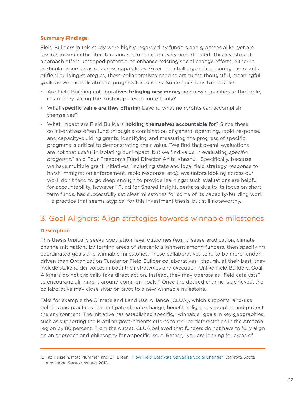#### <span id="page-27-0"></span>**Summary Findings**

Field Builders in this study were highly regarded by funders and grantees alike, yet are less discussed in the literature and seem comparatively underfunded. This investment approach offers untapped potential to enhance existing social change efforts, either in particular issue areas or across capabilities. Given the challenge of measuring the results of field building strategies, these collaboratives need to articulate thoughtful, meaningful goals as well as indicators of progress for funders. Some questions to consider:

- Are Field Building collaboratives **bringing new money** and new capacities to the table, or are they slicing the existing pie even more thinly?
- What **specific value are they offering** beyond what nonprofits can accomplish themselves?
- What impact are Field Builders **holding themselves accountable for**? Since these collaboratives often fund through a combination of general operating, rapid-response, and capacity-building grants, identifying and measuring the progress of specific programs is critical to demonstrating their value. "We find that overall evaluations are not that useful in isolating our impact, but we find value in evaluating *specific programs*," said Four Freedoms Fund Director Anita Khashu. "Specifically, because we have multiple grant initiatives (including state and local field strategy, response to harsh immigration enforcement, rapid response, etc.), evaluators looking across our work don't tend to go deep enough to provide learnings; such evaluations are helpful for accountability, however." Fund for Shared Insight, perhaps due to its focus on shortterm funds, has successfully set clear milestones for some of its capacity-building work —a practice that seems atypical for this investment thesis, but still noteworthy.

### 3. Goal Aligners: Align strategies towards winnable milestones

#### **Description**

This thesis typically seeks population-level outcomes (e.g., disease eradication, climate change mitigation) by forging areas of strategic alignment among funders, then specifying coordinated goals and winnable milestones. These collaboratives tend to be more funderdriven than Organization Funder or Field Builder collaboratives—though, at their best, they include stakeholder voices in both their strategies and execution. Unlike Field Builders, Goal Aligners do not typically take direct action. Instead, they may operate as "field catalysts" to encourage alignment around common goals.<sup>12</sup> Once the desired change is achieved, the collaborative may close shop or pivot to a new winnable milestone.

Take for example the Climate and Land Use Alliance (CLUA), which supports land-use policies and practices that mitigate climate change, benefit indigenous peoples, and protect the environment. The initiative has established specific, "winnable" goals in key geographies, such as supporting the Brazilian government's efforts to reduce deforestation in the Amazon region by 80 percent. From the outset, CLUA believed that funders do not have to fully align on an approach and philosophy for a specific issue. Rather, "you are looking for areas of

<sup>12</sup> Taz Hussein, Matt Plummer, and Bill Breen, "[How Field Catalysts Galvanize Social Change,](https://ssir.org/articles/entry/field_catalysts)" *Stanford Social Innovation Review*, Winter 2018.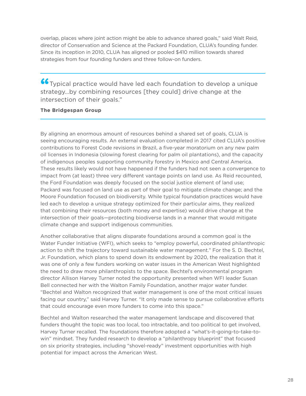overlap, places where joint action might be able to advance shared goals," said Walt Reid, director of Conservation and Science at the Packard Foundation, CLUA's founding funder. Since its inception in 2010, CLUA has aligned or pooled \$410 million towards shared strategies from four founding funders and three follow-on funders.

**"**Typical practice would have led each foundation to develop a unique strategy…by combining resources [they could] drive change at the intersection of their goals."

#### **The Bridgespan Group**

By aligning an enormous amount of resources behind a shared set of goals, CLUA is seeing encouraging results. An external evaluation completed in 2017 cited CLUA's positive contributions to Forest Code revisions in Brazil, a five-year moratorium on any new palm oil licenses in Indonesia (slowing forest clearing for palm oil plantations), and the capacity of indigenous peoples supporting community forestry in Mexico and Central America. These results likely would not have happened if the funders had not seen a convergence to impact from (at least) three very different vantage points on land use. As Reid recounted, the Ford Foundation was deeply focused on the social justice element of land use; Packard was focused on land use as part of their goal to mitigate climate change; and the Moore Foundation focused on biodiversity. While typical foundation practices would have led each to develop a unique strategy optimized for their particular aims, they realized that combining their resources (both money and expertise) would drive change at the intersection of their goals—protecting biodiverse lands in a manner that would mitigate climate change and support indigenous communities.

Another collaborative that aligns disparate foundations around a common goal is the Water Funder Initiative (WFI), which seeks to "employ powerful, coordinated philanthropic action to shift the trajectory toward sustainable water management." For the S. D. Bechtel, Jr. Foundation, which plans to spend down its endowment by 2020, the realization that it was one of only a few funders working on water issues in the American West highlighted the need to draw more philanthropists to the space. Bechtel's environmental program director Allison Harvey Turner noted the opportunity presented when WFI leader Susan Bell connected her with the Walton Family Foundation, another major water funder. "Bechtel and Walton recognized that water management is one of the most critical issues facing our country," said Harvey Turner. "It only made sense to pursue collaborative efforts that could encourage even more funders to come into this space."

Bechtel and Walton researched the water management landscape and discovered that funders thought the topic was too local, too intractable, and too political to get involved, Harvey Turner recalled. The foundations therefore adopted a "what's-it-going-to-take-towin" mindset. They funded research to develop a "philanthropy blueprint" that focused on six priority strategies, including "shovel-ready" investment opportunities with high potential for impact across the American West.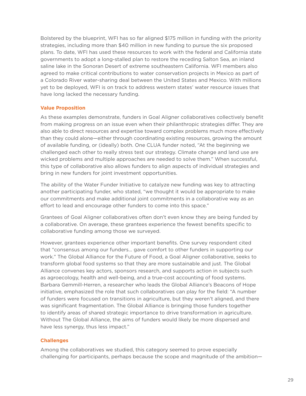Bolstered by the blueprint, WFI has so far aligned \$175 million in funding with the priority strategies, including more than \$40 million in new funding to pursue the six proposed plans. To date, WFI has used these resources to work with the federal and California state governments to adopt a long-stalled plan to restore the receding Salton Sea, an inland saline lake in the Sonoran Desert of extreme southeastern California. WFI members also agreed to make critical contributions to water conservation projects in Mexico as part of a Colorado River water-sharing deal between the United States and Mexico. With millions yet to be deployed, WFI is on track to address western states' water resource issues that have long lacked the necessary funding.

#### **Value Proposition**

As these examples demonstrate, funders in Goal Aligner collaboratives collectively benefit from making progress on an issue even when their philanthropic strategies differ. They are also able to direct resources and expertise toward complex problems much more effectively than they could alone—either through coordinating existing resources, growing the amount of available funding, or (ideally) both. One CLUA funder noted, "At the beginning we challenged each other to really stress test our strategy. Climate change and land use are wicked problems and multiple approaches are needed to solve them." When successful, this type of collaborative also allows funders to align aspects of individual strategies and bring in new funders for joint investment opportunities.

The ability of the Water Funder Initiative to catalyze new funding was key to attracting another participating funder, who stated, "we thought it would be appropriate to make our commitments and make additional joint commitments in a collaborative way as an effort to lead and encourage other funders to come into this space."

Grantees of Goal Aligner collaboratives often don't even know they are being funded by a collaborative. On average, these grantees experience the fewest benefits specific to collaborative funding among those we surveyed.

However, grantees experience other important benefits. One survey respondent cited that "consensus among our funders… gave comfort to other funders in supporting our work." The Global Alliance for the Future of Food, a Goal Aligner collaborative, seeks to transform global food systems so that they are more sustainable and just. The Global Alliance convenes key actors, sponsors research, and supports action in subjects such as agroecology, health and well-being, and a true-cost accounting of food systems. Barbara Gemmill-Herren, a researcher who leads the Global Alliance's Beacons of Hope initiative, emphasized the role that such collaboratives can play for the field: "A number of funders were focused on transitions in agriculture, but they weren't aligned, and there was significant fragmentation. The Global Alliance is bringing those funders together to identify areas of shared strategic importance to drive transformation in agriculture. Without The Global Alliance, the aims of funders would likely be more dispersed and have less synergy, thus less impact."

#### **Challenges**

Among the collaboratives we studied, this category seemed to prove especially challenging for participants, perhaps because the scope and magnitude of the ambition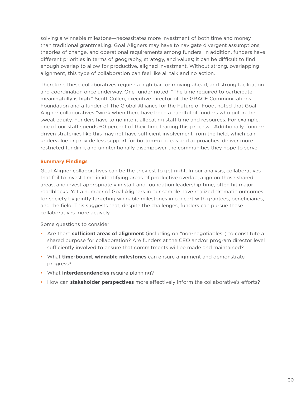solving a winnable milestone—necessitates more investment of both time and money than traditional grantmaking. Goal Aligners may have to navigate divergent assumptions, theories of change, and operational requirements among funders. In addition, funders have different priorities in terms of geography, strategy, and values; it can be difficult to find enough overlap to allow for productive, aligned investment. Without strong, overlapping alignment, this type of collaboration can feel like all talk and no action.

Therefore, these collaboratives require a high bar for moving ahead, and strong facilitation and coordination once underway. One funder noted, "The time required to participate meaningfully is high." Scott Cullen, executive director of the GRACE Communications Foundation and a funder of The Global Alliance for the Future of Food, noted that Goal Aligner collaboratives "work when there have been a handful of funders who put in the sweat equity. Funders have to go into it allocating staff time and resources. For example, one of our staff spends 60 percent of their time leading this process." Additionally, funderdriven strategies like this may not have sufficient involvement from the field, which can undervalue or provide less support for bottom-up ideas and approaches, deliver more restricted funding, and unintentionally disempower the communities they hope to serve.

#### **Summary Findings**

Goal Aligner collaboratives can be the trickiest to get right. In our analysis, collaboratives that fail to invest time in identifying areas of productive overlap, align on those shared areas, and invest appropriately in staff and foundation leadership time, often hit major roadblocks. Yet a number of Goal Aligners in our sample have realized dramatic outcomes for society by jointly targeting winnable milestones in concert with grantees, beneficiaries, and the field. This suggests that, despite the challenges, funders can pursue these collaboratives more actively.

Some questions to consider:

- Are there **sufficient areas of alignment** (including on "non-negotiables") to constitute a shared purpose for collaboration? Are funders at the CEO and/or program director level sufficiently involved to ensure that commitments will be made and maintained?
- What **time-bound, winnable milestones** can ensure alignment and demonstrate progress?
- What **interdependencies** require planning?
- How can **stakeholder perspectives** more effectively inform the collaborative's efforts?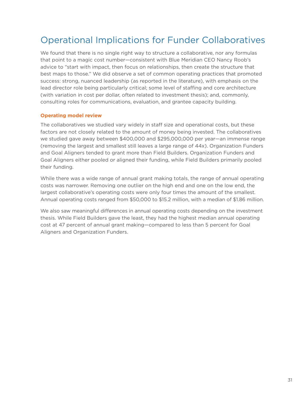### <span id="page-31-0"></span>Operational Implications for Funder Collaboratives

We found that there is no single right way to structure a collaborative, nor any formulas that point to a magic cost number—consistent with Blue Meridian CEO Nancy Roob's advice to "start with impact, then focus on relationships, then create the structure that best maps to those." We did observe a set of common operating practices that promoted success: strong, nuanced leadership (as reported in the literature), with emphasis on the lead director role being particularly critical; some level of staffing and core architecture (with variation in cost per dollar, often related to investment thesis); and, commonly, consulting roles for communications, evaluation, and grantee capacity building.

#### **Operating model review**

The collaboratives we studied vary widely in staff size and operational costs, but these factors are not closely related to the amount of money being invested. The collaboratives we studied gave away between \$400,000 and \$295,000,000 per year—an immense range (removing the largest and smallest still leaves a large range of 44x). Organization Funders and Goal Aligners tended to grant more than Field Builders. Organization Funders and Goal Aligners either pooled or aligned their funding, while Field Builders primarily pooled their funding.

While there was a wide range of annual grant making totals, the range of annual operating costs was narrower. Removing one outlier on the high end and one on the low end, the largest collaborative's operating costs were only four times the amount of the smallest. Annual operating costs ranged from \$50,000 to \$15.2 million, with a median of \$1.86 million.

We also saw meaningful differences in annual operating costs depending on the investment thesis. While Field Builders gave the least, they had the highest median annual operating cost at 47 percent of annual grant making—compared to less than 5 percent for Goal Aligners and Organization Funders.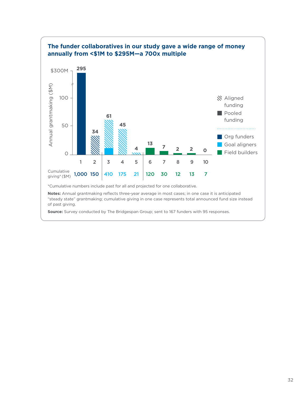

**Notes:** Annual grantmaking reflects three-year average in most cases; in one case it is anticipated "steady state" grantmaking; cumulative giving in one case represents total announced fund size instead of past giving.

**Source:** Survey conducted by The Bridgespan Group; sent to 167 funders with 95 responses.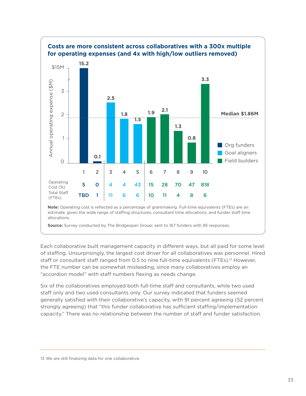![](_page_33_Figure_0.jpeg)

Each collaborative built management capacity in different ways, but all paid for some level of staffing. Unsurprisingly, the largest cost driver for all collaboratives was personnel. Hired staff or consultant staff ranged from 0.5 to nine full-time equivalents (FTEs). 13 However, the FTE number can be somewhat misleading, since many collaboratives employ an "accordion model" with staff numbers flexing as needs change.

Six of the collaboratives employed both full-time staff and consultants, while two used staff only and two used consultants only. Our survey indicated that funders seemed generally satisfied with their collaborative's capacity, with 91 percent agreeing (52 percent strongly agreeing) that "this funder collaborative has sufficient staffing/implementation capacity." There was no relationship between the number of staff and funder satisfaction.

<sup>13</sup> We are still finalizing data for one collaborative.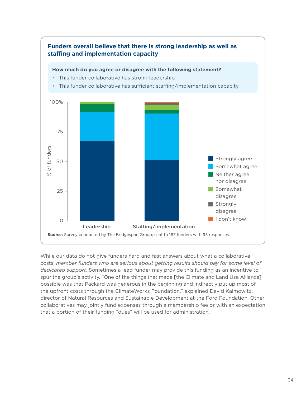![](_page_34_Figure_0.jpeg)

While our data do not give funders hard and fast answers about what a collaborative costs, *member funders who are serious about getting results should pay for some level of dedicated support.* Sometimes a lead funder may provide this funding as an incentive to spur the group's activity. "One of the things that made [the Climate and Land Use Alliance] possible was that Packard was generous in the beginning and indirectly put up most of the upfront costs through the ClimateWorks Foundation," explained David Kaimowitz, director of Natural Resources and Sustainable Development at the Ford Foundation. Other collaboratives may jointly fund expenses through a membership fee or with an expectation that a portion of their funding "dues" will be used for administration.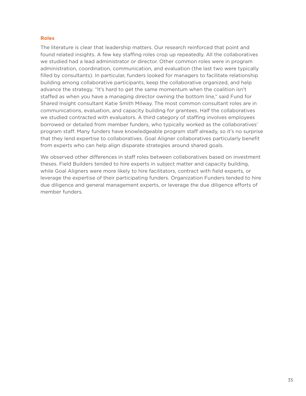#### **Roles**

The literature is clear that leadership matters. Our research reinforced that point and found related insights. A few key staffing roles crop up repeatedly. All the collaboratives we studied had a lead administrator or director. Other common roles were in program administration, coordination, communication, and evaluation (the last two were typically filled by consultants). In particular, funders looked for managers to facilitate relationship building among collaborative participants, keep the collaborative organized, and help advance the strategy. "It's hard to get the same momentum when the coalition isn't staffed as when you have a managing director owning the bottom line," said Fund for Shared Insight consultant Katie Smith Milway. The most common consultant roles are in communications, evaluation, and capacity building for grantees. Half the collaboratives we studied contracted with evaluators. A third category of staffing involves employees borrowed or detailed from member funders, who typically worked as the collaboratives' program staff. Many funders have knowledgeable program staff already, so it's no surprise that they lend expertise to collaboratives. Goal Aligner collaboratives particularly benefit from experts who can help align disparate strategies around shared goals.

We observed other differences in staff roles between collaboratives based on investment theses. Field Builders tended to hire experts in subject matter and capacity building, while Goal Aligners were more likely to hire facilitators, contract with field experts, or leverage the expertise of their participating funders. Organization Funders tended to hire due diligence and general management experts, or leverage the due diligence efforts of member funders.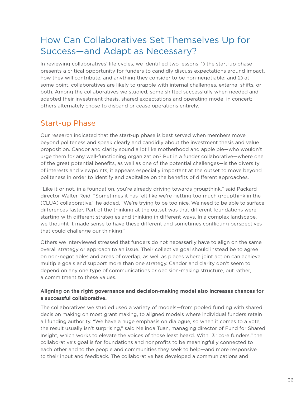# <span id="page-36-0"></span>How Can Collaboratives Set Themselves Up for Success—and Adapt as Necessary?

In reviewing collaboratives' life cycles, we identified two lessons: 1) the start-up phase presents a critical opportunity for funders to candidly discuss expectations around impact, how they will contribute, and anything they consider to be non-negotiable; and 2) at some point, collaboratives are likely to grapple with internal challenges, external shifts, or both. Among the collaboratives we studied, some shifted successfully when needed and adapted their investment thesis, shared expectations and operating model in concert; others alternately chose to disband or cease operations entirely.

### Start-up Phase

Our research indicated that the start-up phase is best served when members move beyond politeness and speak clearly and candidly about the investment thesis and value proposition. Candor and clarity sound a lot like motherhood and apple pie—who wouldn't urge them for any well-functioning organization? But in a funder collaborative—where one of the great potential benefits, as well as one of the potential challenges—is the diversity of interests and viewpoints, it appears especially important at the outset to move beyond politeness in order to identify and capitalize on the benefits of different approaches.

"Like it or not, in a foundation, you're already driving towards groupthink," said Packard director Walter Reid. "Sometimes it has felt like we're getting too much groupthink in the (CLUA) collaborative," he added. "We're trying to be too nice. We need to be able to surface differences faster. Part of the thinking at the outset was that different foundations were starting with different strategies and thinking in different ways. In a complex landscape, we thought it made sense to have these different and sometimes conflicting perspectives that could challenge our thinking."

Others we interviewed stressed that funders do not necessarily have to align on the same overall strategy or approach to an issue. Their collective goal should instead be to agree on non-negotiables and areas of overlap, as well as places where joint action can achieve multiple goals and support more than one strategy. Candor and clarity don't seem to depend on any one type of communications or decision-making structure, but rather, a commitment to these values.

#### **Aligning on the right governance and decision-making model also increases chances for a successful collaborative.**

The collaboratives we studied used a variety of models—from pooled funding with shared decision making on most grant making, to aligned models where individual funders retain all funding authority. "We have a huge emphasis on dialogue, so when it comes to a vote, the result usually isn't surprising," said Melinda Tuan, managing director of Fund for Shared Insight, which works to elevate the voices of those least heard. With 13 "core funders," the collaborative's goal is for foundations and nonprofits to be meaningfully connected to each other and to the people and communities they seek to help—and more responsive to their input and feedback. The collaborative has developed a communications and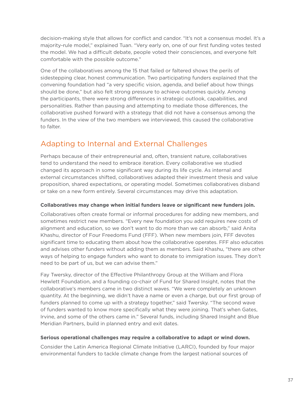<span id="page-37-0"></span>decision-making style that allows for conflict and candor. "It's not a consensus model. It's a majority-rule model," explained Tuan. "Very early on, one of our first funding votes tested the model. We had a difficult debate, people voted their consciences, and everyone felt comfortable with the possible outcome."

One of the collaboratives among the 15 that failed or faltered shows the perils of sidestepping clear, honest communication. Two participating funders explained that the convening foundation had "a very specific vision, agenda, and belief about how things should be done," but also felt strong pressure to achieve outcomes quickly. Among the participants, there were strong differences in strategic outlook, capabilities, and personalities. Rather than pausing and attempting to mediate those differences, the collaborative pushed forward with a strategy that did not have a consensus among the funders. In the view of the two members we interviewed, this caused the collaborative to falter.

### Adapting to Internal and External Challenges

Perhaps because of their entrepreneurial and, often, transient nature, collaboratives tend to understand the need to embrace iteration. Every collaborative we studied changed its approach in some significant way during its life cycle. As internal and external circumstances shifted, collaboratives adapted their investment thesis and value proposition, shared expectations, or operating model. Sometimes collaboratives disband or take on a new form entirely. Several circumstances may drive this adaptation.

#### **Collaboratives may change when initial funders leave or significant new funders join.**

Collaboratives often create formal or informal procedures for adding new members, and sometimes restrict new members. "Every new foundation you add requires new costs of alignment and education, so we don't want to do more than we can absorb," said Anita Khashu, director of Four Freedoms Fund (FFF). When new members join, FFF devotes significant time to educating them about how the collaborative operates. FFF also educates and advises other funders without adding them as members. Said Khashu, "there are other ways of helping to engage funders who want to donate to immigration issues. They don't need to be part of us, but we can advise them."

Fay Twersky, director of the Effective Philanthropy Group at the William and Flora Hewlett Foundation, and a founding co-chair of Fund for Shared Insight, notes that the collaborative's members came in two distinct waves. "We were completely an unknown quantity. At the beginning, we didn't have a name or even a charge, but our first group of funders planned to come up with a strategy together," said Twersky. "The second wave of funders wanted to know more specifically what they were joining. That's when Gates, Irvine, and some of the others came in." Several funds, including Shared Insight and Blue Meridian Partners, build in planned entry and exit dates.

#### **Serious operational challenges may require a collaborative to adapt or wind down.**

Consider the Latin America Regional Climate Initiative (LARCI), founded by four major environmental funders to tackle climate change from the largest national sources of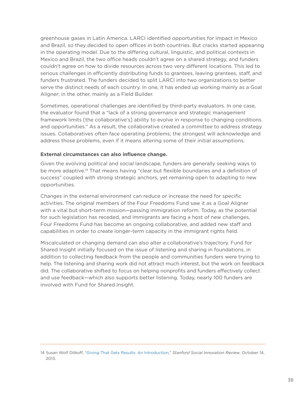greenhouse gases in Latin America. LARCI identified opportunities for impact in Mexico and Brazil, so they decided to open offices in both countries. But cracks started appearing in the operating model. Due to the differing cultural, linguistic, and political contexts in Mexico and Brazil, the two office heads couldn't agree on a shared strategy, and funders couldn't agree on how to divide resources across two very different locations. This led to serious challenges in efficiently distributing funds to grantees, leaving grantees, staff, and funders frustrated. The funders decided to split LARCI into two organizations to better serve the distinct needs of each country. In one, it has ended up working mainly as a Goal Aligner; in the other, mainly as a Field Builder.

Sometimes, operational challenges are identified by third-party evaluators. In one case, the evaluator found that a "lack of a strong governance and strategic management framework limits [the collaborative's] ability to evolve in response to changing conditions and opportunities." As a result, the collaborative created a committee to address strategy issues. Collaboratives often face operating problems; the strongest will acknowledge and address those problems, even if it means altering some of their initial assumptions.

#### **External circumstances can also influence change.**

Given the evolving political and social landscape, funders are generally seeking ways to be more adaptive. 14 That means having "clear but flexible boundaries and a definition of success" coupled with strong strategic anchors, yet remaining open to adapting to new opportunities.

Changes in the external environment can reduce or increase the need for specific activities. The original members of the Four Freedoms Fund saw it as a Goal Aligner with a vital but short-term mission—passing immigration reform. Today, as the potential for such legislation has receded, and immigrants are facing a host of new challenges, Four Freedoms Fund has become an ongoing collaborative, and added new staff and capabilities in order to create longer-term capacity in the immigrant rights field.

Miscalculated or changing demand can also alter a collaborative's trajectory. Fund for Shared Insight initially focused on the issue of listening and sharing in foundations, in addition to collecting feedback from the people and communities funders were trying to help. The listening and sharing work did not attract much interest, but the work on feedback did. The collaborative shifted to focus on helping nonprofits and funders effectively collect and use feedback—which also supports better listening. Today, nearly 100 funders are involved with Fund for Shared Insight.

<sup>14</sup> Susan Wolf Ditkoff, ["Giving That Gets Results: An Introduction,](https://ssir.org/articles/entry/giving_that_gets_results_an_introduction)" *Stanford Social Innovation Review*, October 14, 2013.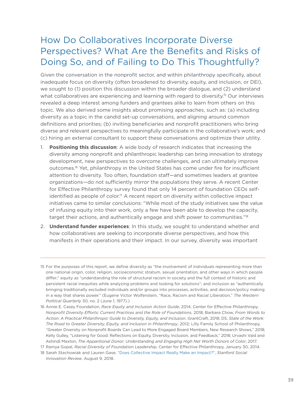### <span id="page-39-0"></span>How Do Collaboratives Incorporate Diverse Perspectives? What Are the Benefits and Risks of Doing So, and of Failing to Do This Thoughtfully?

Given the conversation in the nonprofit sector, and within philanthropy specifically, about inadequate focus on diversity (often broadened to diversity, equity, and inclusion, or DEI), we sought to (1) position this discussion within the broader dialogue, and (2) understand what collaboratives are experiencing and learning with regard to diversity. 15 Our interviews revealed a deep interest among funders and grantees alike to learn from others on this topic. We also derived some insights about promising approaches, such as: (a) including diversity as a topic in the candid set-up conversations, and aligning around common definitions and priorities; (b) inviting beneficiaries and nonprofit practitioners who bring diverse and relevant perspectives to meaningfully participate in the collaborative's work; and (c) hiring an external consultant to support these conversations and optimize their utility.

- 1. **Positioning this discussion**: A wide body of research indicates that increasing the diversity among nonprofit and philanthropic leadership can bring innovation to strategy development, new perspectives to overcome challenges, and can ultimately improve outcomes. 16 Yet, philanthropy in the United States has come under fire for insufficient attention to diversity. Too often, foundation staff—and sometimes leaders at grantee organizations—do not sufficiently mirror the populations they serve. A recent Center for Effective Philanthropy survey found that only 14 percent of foundation CEOs selfidentified as people of color. 17 A recent report on diversity within collective impact initiatives came to similar conclusions: "While most of the study initiatives saw the value of infusing equity into their work, only a few have been able to develop the capacity, target their actions, and authentically engage and shift power to communities."<sup>18</sup>
- 2. **Understand funder experiences**: In this study, we sought to understand whether and how collaboratives are seeking to incorporate diverse perspectives, and how this manifests in their operations and their impact. In our survey, diversity was important

<sup>15</sup> For the purposes of this report, we define diversity as "the involvement of individuals representing more than one national origin, color, religion, socioeconomic stratum, sexual orientation, and other ways in which people differ;" equity as "understanding the role of structural racism in society and the full context of historic and persistent racial inequities while analyzing problems and looking for solutions"; and inclusion as "authentically bringing traditionally excluded individuals and/or groups into processes, activities, and decision/policy making in a way that shares power." (Eugene Victor Wolfenstein, "Race, Racism and Racial Liberation," *The Western Political Quarterly* 30, no. 2 (June 1, 1977).)

<sup>16</sup> Annie E. Casey Foundation, *Race Equity and Inclusion Action Guide*, 2014; Center for Effective Philanthropy, *Nonprofit Diversity Efforts: Current Practices and the Role of Foundations*, 2018; Barbara Chow, *From Words to Action: A Practical Philanthropic Guide to Diversity, Equity, and Inclusion*, GrantCraft, 2018; D5, *State of the Work: The Road to Greater Diversity, Equity, and Inclusion in Philanthropy*, 2012; Lilly Family School of Philanthropy, "Greater Diversity on Nonprofit Boards Can Lead to More Engaged Board Members, New Research Shows," 2018; Kelly Gulley, "Listening for Good: Reflections on Equity, Diversity, Inclusion, and Feedback," 2018; Urvashi Vaid and Ashindi Maxton, *The Apparitional Donor: Understanding and Engaging High Net Worth Donors of Color*, 2017.

<sup>17</sup> Ramya Gopal, *Racial Diversity of Foundation Leadership*, Center for Effective Philanthropy, January 30, 2014.

<sup>18</sup> Sarah Stachowiak and Lauren Gase, "[Does Collective Impact Really Make an Impact?](https://ssir.org/articles/entry/does_collective_impact_really_make_an_impact)", *Stanford Social Innovation Review*, August 9, 2018.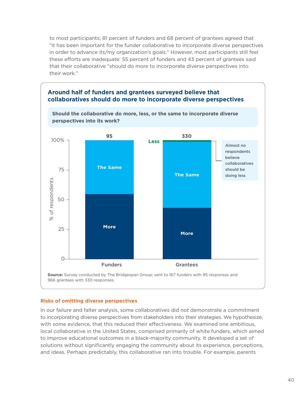to most participants; 81 percent of funders and 68 percent of grantees agreed that "it has been important for the funder collaborative to incorporate diverse perspectives in order to advance its/my organization's goals." However, most participants still feel these efforts are inadequate: 55 percent of funders and 43 percent of grantees said that their collaborative "should do more to incorporate diverse perspectives into their work."

![](_page_40_Figure_1.jpeg)

#### **Risks of omitting diverse perspectives**

In our failure and falter analysis, some collaboratives did not demonstrate a commitment to incorporating diverse perspectives from stakeholders into their strategies. We hypothesize, with some evidence, that this reduced their effectiveness. We examined one ambitious, local collaborative in the United States, comprised primarily of white funders, which aimed to improve educational outcomes in a black-majority community. It developed a set of solutions without significantly engaging the community about its experience, perceptions, and ideas. Perhaps predictably, this collaborative ran into trouble. For example, parents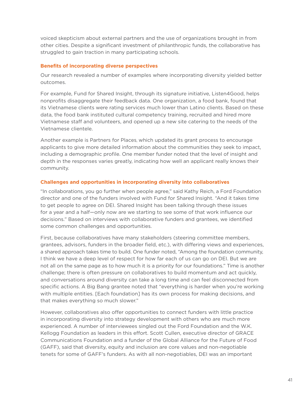voiced skepticism about external partners and the use of organizations brought in from other cities. Despite a significant investment of philanthropic funds, the collaborative has struggled to gain traction in many participating schools.

#### **Benefits of incorporating diverse perspectives**

Our research revealed a number of examples where incorporating diversity yielded better outcomes.

For example, Fund for Shared Insight, through its signature initiative, Listen4Good, helps nonprofits disaggregate their feedback data. One organization, a food bank, found that its Vietnamese clients were rating services much lower than Latino clients. Based on these data, the food bank instituted cultural competency training, recruited and hired more Vietnamese staff and volunteers, and opened up a new site catering to the needs of the Vietnamese clientele.

Another example is Partners for Places, which updated its grant process to encourage applicants to give more detailed information about the communities they seek to impact, including a demographic profile. One member funder noted that the level of insight and depth in the responses varies greatly, indicating how well an applicant really knows their community.

#### **Challenges and opportunities in incorporating diversity into collaboratives**

"In collaborations, you go further when people agree," said Kathy Reich, a Ford Foundation director and one of the funders involved with Fund for Shared Insight. "And it takes time to get people to agree on DEI. Shared Insight has been talking through these issues for a year and a half—only now are we starting to see some of that work influence our decisions." Based on interviews with collaborative funders and grantees, we identified some common challenges and opportunities.

First, because collaboratives have many stakeholders (steering committee members, grantees, advisors, funders in the broader field, etc.), with differing views and experiences, a shared approach takes time to build. One funder noted, "Among the foundation community, I think we have a deep level of respect for how far each of us can go on DEI. But we are not all on the same page as to how much it is a priority for our foundations." Time is another challenge; there is often pressure on collaboratives to build momentum and act quickly, and conversations around diversity can take a long time and can feel disconnected from specific actions. A Big Bang grantee noted that "everything is harder when you're working with multiple entities. [Each foundation] has its own process for making decisions, and that makes everything so much slower."

However, collaboratives also offer opportunities to connect funders with little practice in incorporating diversity into strategy development with others who are much more experienced. A number of interviewees singled out the Ford Foundation and the W.K. Kellogg Foundation as leaders in this effort. Scott Cullen, executive director of GRACE Communications Foundation and a funder of the Global Alliance for the Future of Food (GAFF), said that diversity, equity and inclusion are core values and non-negotiable tenets for some of GAFF's funders. As with all non-negotiables, DEI was an important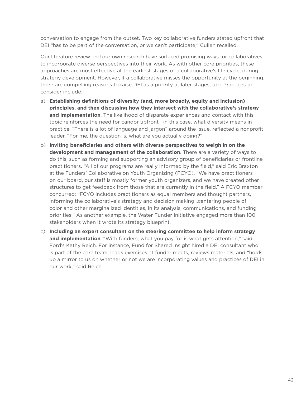conversation to engage from the outset. Two key collaborative funders stated upfront that DEI "has to be part of the conversation, or we can't participate," Cullen recalled.

Our literature review and our own research have surfaced promising ways for collaboratives to incorporate diverse perspectives into their work. As with other core priorities, these approaches are most effective at the earliest stages of a collaborative's life cycle, during strategy development. However, if a collaborative misses the opportunity at the beginning, there are compelling reasons to raise DEI as a priority at later stages, too. Practices to consider include:

- a) **Establishing definitions of diversity (and, more broadly, equity and inclusion) principles, and then discussing how they intersect with the collaborative's strategy and implementation**. The likelihood of disparate experiences and contact with this topic reinforces the need for candor upfront—in this case, what diversity means in practice. "There is a lot of language and jargon" around the issue, reflected a nonprofit leader. "For me, the question is, what are you actually doing?"
- b) **Inviting beneficiaries and others with diverse perspectives to weigh in on the development and management of the collaboration**. There are a variety of ways to do this, such as forming and supporting an advisory group of beneficiaries or frontline practitioners. "All of our programs are really informed by the field," said Eric Braxton at the Funders' Collaborative on Youth Organizing (FCYO). "We have practitioners on our board, our staff is mostly former youth organizers, and we have created other structures to get feedback from those that are currently in the field." A FCYO member concurred: "FCYO includes practitioners as equal members and thought partners, informing the collaborative's strategy and decision making…centering people of color and other marginalized identities, in its analysis, communications, and funding priorities." As another example, the Water Funder Initiative engaged more than 100 stakeholders when it wrote its strategy blueprint.
- c) **Including an expert consultant on the steering committee to help inform strategy and implementation**. "With funders, what you pay for is what gets attention," said Ford's Kathy Reich. For instance, Fund for Shared Insight hired a DEI consultant who is part of the core team, leads exercises at funder meets, reviews materials, and "holds up a mirror to us on whether or not we are incorporating values and practices of DEI in our work," said Reich.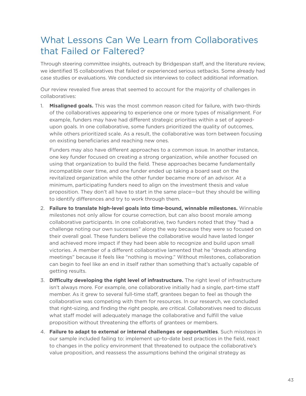# <span id="page-43-0"></span>What Lessons Can We Learn from Collaboratives that Failed or Faltered?

Through steering committee insights, outreach by Bridgespan staff, and the literature review, we identified 15 collaboratives that failed or experienced serious setbacks. Some already had case studies or evaluations. We conducted six interviews to collect additional information.

Our review revealed five areas that seemed to account for the majority of challenges in collaboratives:

1. **Misaligned goals.** This was the most common reason cited for failure, with two-thirds of the collaboratives appearing to experience one or more types of misalignment. For example, funders may have had different strategic priorities within a set of agreedupon goals. In one collaborative, some funders prioritized the quality of outcomes, while others prioritized scale. As a result, the collaborative was torn between focusing on existing beneficiaries and reaching new ones.

Funders may also have different approaches to a common issue. In another instance, one key funder focused on creating a strong organization, while another focused on using that organization to build the field. These approaches became fundamentally incompatible over time, and one funder ended up taking a board seat on the revitalized organization while the other funder became more of an advisor. At a minimum, participating funders need to align on the investment thesis and value proposition. They don't all have to start in the same place—but they should be willing to identify differences and try to work through them.

- 2. **Failure to translate high-level goals into time-bound, winnable milestones.** Winnable milestones not only allow for course correction, but can also boost morale among collaborative participants. In one collaborative, two funders noted that they "had a challenge noting our own successes" along the way because they were so focused on their overall goal. These funders believe the collaborative would have lasted longer and achieved more impact if they had been able to recognize and build upon small victories. A member of a different collaborative lamented that he "dreads attending meetings" because it feels like "nothing is moving." Without milestones, collaboration can begin to feel like an end in itself rather than something that's actually capable of getting results.
- 3. **Difficulty developing the right level of infrastructure.** The right level of infrastructure isn't always more. For example, one collaborative initially had a single, part-time staff member. As it grew to several full-time staff, grantees began to feel as though the collaborative was competing with them for resources. In our research, we concluded that right-sizing, and finding the right people, are critical. Collaboratives need to discuss what staff model will adequately manage the collaborative and fulfill the value proposition without threatening the efforts of grantees or members.
- 4. **Failure to adapt to external or internal challenges or opportunities**. Such missteps in our sample included failing to: implement up-to-date best practices in the field, react to changes in the policy environment that threatened to outpace the collaborative's value proposition, and reassess the assumptions behind the original strategy as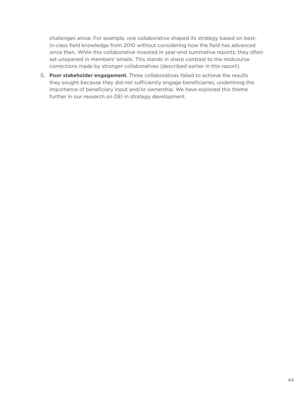challenges arose. For example, one collaborative shaped its strategy based on bestin-class field knowledge from 2010 without considering how the field has advanced since then. While this collaborative invested in year-end summative reports, they often sat unopened in members' emails. This stands in sharp contrast to the midcourse corrections made by stronger collaboratives (described earlier in this report).

5. **Poor stakeholder engagement**. Three collaboratives failed to achieve the results they sought because they did not sufficiently engage beneficiaries, underlining the importance of beneficiary input and/or ownership. We have explored this theme further in our research on DEI in strategy development.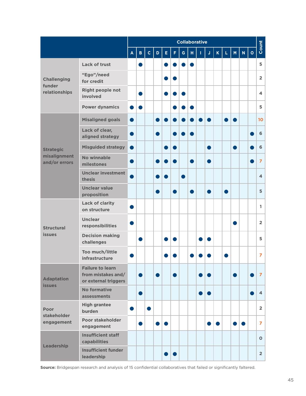|                                                   |                                                                       | <b>Collaborative</b> |              |              |   |                |                  |   |    |   |    |             |    |   |   |         |                         |
|---------------------------------------------------|-----------------------------------------------------------------------|----------------------|--------------|--------------|---|----------------|------------------|---|----|---|----|-------------|----|---|---|---------|-------------------------|
|                                                   |                                                                       | A                    | $\mathbf{B}$ | $\mathbf{C}$ | D | E              | F.               | G | H. | т | J  | $\mathsf K$ | L. | M | N | $\circ$ | Count                   |
| <b>Challenging</b><br>funder<br>relationships     | Lack of trust                                                         |                      |              |              |   |                |                  |   |    |   |    |             |    |   |   |         | 5                       |
|                                                   | "Ego"/need<br>for credit                                              |                      |              |              |   |                |                  |   |    |   |    |             |    |   |   |         | $\overline{2}$          |
|                                                   | <b>Right people not</b><br>involved                                   |                      |              |              |   |                |                  |   |    |   |    |             |    |   |   |         | 4                       |
|                                                   | <b>Power dynamics</b>                                                 |                      |              |              |   |                |                  |   |    |   |    |             |    |   |   |         | 5                       |
| <b>Strategic</b><br>misalignment<br>and/or errors | <b>Misaligned goals</b>                                               |                      |              |              |   |                |                  |   |    |   |    |             |    |   |   |         | 10                      |
|                                                   | Lack of clear,<br>aligned strategy                                    |                      |              |              |   |                |                  |   |    |   |    |             |    |   |   |         | 6                       |
|                                                   | <b>Misguided strategy</b>                                             | o)                   |              |              |   |                |                  |   |    |   |    |             |    |   |   |         | 6                       |
|                                                   | <b>No winnable</b><br>milestones                                      |                      |              |              |   |                |                  |   |    |   |    |             |    |   |   |         | $\overline{z}$          |
|                                                   | <b>Unclear investment</b><br>thesis                                   |                      |              |              |   | $\blacksquare$ |                  |   |    |   |    |             |    |   |   |         | $\overline{\mathbf{4}}$ |
|                                                   | <b>Unclear value</b><br>proposition                                   |                      |              |              |   |                |                  |   |    |   |    |             |    |   |   |         | 5                       |
| <b>Structural</b><br><b>issues</b>                | <b>Lack of clarity</b><br>on structure                                |                      |              |              |   |                |                  |   |    |   |    |             |    |   |   |         | 1.                      |
|                                                   | <b>Unclear</b><br>responsibilities                                    |                      |              |              |   |                |                  |   |    |   |    |             |    |   |   |         | $\overline{2}$          |
|                                                   | <b>Decision making</b><br>challenges                                  |                      |              |              |   |                |                  |   |    |   |    |             |    |   |   |         | 5                       |
|                                                   | Too much/little<br>infrastructure                                     |                      |              |              |   |                |                  |   |    |   |    |             |    |   |   |         | 7                       |
| <b>Adaptation</b><br><b>issues</b>                | <b>Failure to learn</b><br>from mistakes and/<br>or external triggers |                      |              |              |   |                |                  |   |    |   |    |             |    |   |   |         | $\overline{7}$          |
|                                                   | <b>No formative</b><br>assessments                                    |                      |              |              |   |                |                  |   |    |   | D  |             |    |   |   |         | $\overline{\mathbf{4}}$ |
| <b>Poor</b><br>stakeholder<br>engagement          | <b>High grantee</b><br>burden                                         | D                    |              | $\bullet$    |   |                |                  |   |    |   |    |             |    |   |   |         | $\overline{2}$          |
|                                                   | Poor stakeholder<br>engagement                                        |                      |              |              |   | $\bullet$      |                  |   |    |   | n. | $\bullet$   |    |   |   |         | $\overline{z}$          |
| Leadership                                        | <b>Insufficient staff</b><br>capabilities                             |                      |              |              |   |                |                  |   |    |   |    |             |    |   |   |         | $\mathbf{o}$            |
|                                                   | <b>Insufficient funder</b><br>leadership                              |                      |              |              |   |                | $\bullet\bullet$ |   |    |   |    |             |    |   |   |         | $\overline{2}$          |

**Source:** Bridgespan research and analysis of 15 confidential collaboratives that failed or significantly faltered.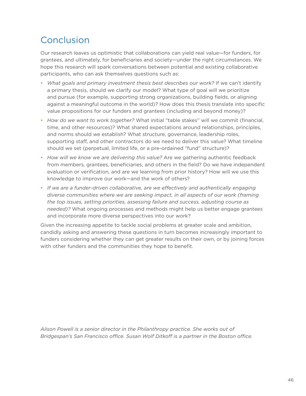# <span id="page-46-0"></span>Conclusion

Our research leaves us optimistic that collaborations can yield real value—for funders, for grantees, and ultimately, for beneficiaries and society—under the right circumstances. We hope this research will spark conversations between potential and existing collaborative participants, who can ask themselves questions such as:

- *What goals and primary investment thesis best describes our work?* If we can't identify a primary thesis, should we clarify our model? What type of goal will we prioritize and pursue (for example, supporting strong organizations, building fields, or aligning against a meaningful outcome in the world)? How does this thesis translate into specific value propositions for our funders and grantees (including and beyond money)?
- *How do we want to work together?* What initial "table stakes" will we commit (financial, time, and other resources)? What shared expectations around relationships, principles, and norms should we establish? What structure, governance, leadership roles, supporting staff, and other contractors do we need to deliver this value? What timeline should we set (perpetual, limited life, or a pre-ordained "fund" structure)?
- *How will we know we are delivering this value?* Are we gathering authentic feedback from members, grantees, beneficiaries, and others in the field? Do we have independent evaluation or verification, and are we learning from prior history? How will we use this knowledge to improve our work—and the work of others?
- *If we are a funder-driven collaborative, are we effectively and authentically engaging diverse communities where we are seeking impact, in all aspects of our work (framing the top issues, setting priorities, assessing failure and success, adjusting course as needed)?* What ongoing processes and methods might help us better engage grantees and incorporate more diverse perspectives into our work?

Given the increasing appetite to tackle social problems at greater scale and ambition, candidly asking and answering these questions in turn becomes increasingly important to funders considering whether they can get greater results on their own, or by joining forces with other funders and the communities they hope to benefit.

*Alison Powell is a senior director in the Philanthropy practice. She works out of Bridgespan's San Francisco office. Susan Wolf Ditkoff is a partner in the Boston office.*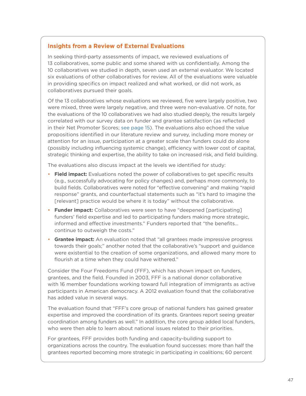#### <span id="page-47-0"></span>**Insights from a Review of External Evaluations**

In seeking third-party assessments of impact, we reviewed evaluations of 13 collaboratives, some public and some shared with us confidentially. Among the 10 collaboratives we studied in depth, seven used an external evaluator. We located six evaluations of other collaboratives for review. All of the evaluations were valuable in providing specifics on impact realized and what worked, or did not work, as collaboratives pursued their goals.

Of the 13 collaboratives whose evaluations we reviewed, five were largely positive, two were mixed, three were largely negative, and three were non-evaluative. Of note, for the evaluations of the 10 collaboratives we had also studied deeply, the results largely correlated with our survey data on funder and grantee satisfaction (as reflected in their Net Promoter Scores; [see page 15](#page-15-0)). The evaluations also echoed the value propositions identified in our literature review and survey, including more money or attention for an issue, participation at a greater scale than funders could do alone (possibly including influencing systemic change), efficiency with lower cost of capital, strategic thinking and expertise, the ability to take on increased risk, and field building.

The evaluations also discuss impact at the levels we identified for study:

- **Field impact:** Evaluations noted the power of collaboratives to get specific results (e.g., successfully advocating for policy changes) and, perhaps more commonly, to build fields. Collaboratives were noted for "effective convening" and making "rapid response" grants, and counterfactual statements such as "it's hard to imagine the [relevant] practice would be where it is today" without the collaborative.
- **Funder impact:** Collaboratives were seen to have "deepened [participating] funders' field expertise and led to participating funders making more strategic, informed and effective investments." Funders reported that "the benefits… continue to outweigh the costs."
- **Grantee impact:** An evaluation noted that "all grantees made impressive progress towards their goals;" another noted that the collaborative's "support and guidance were existential to the creation of some organizations, and allowed many more to flourish at a time when they could have withered."

Consider the Four Freedoms Fund (FFF), which has shown impact on funders, grantees, and the field. Founded in 2003, FFF is a national donor collaborative with 16 member foundations working toward full integration of immigrants as active participants in American democracy. A 2012 evaluation found that the collaborative has added value in several ways.

The evaluation found that "FFF's core group of national funders has gained greater expertise and improved the coordination of its grants. Grantees report seeing greater coordination among funders as well." In addition, the core group added local funders, who were then able to learn about national issues related to their priorities.

For grantees, FFF provides both funding and capacity-building support to organizations across the country. The evaluation found successes: more than half the grantees reported becoming more strategic in participating in coalitions; 60 percent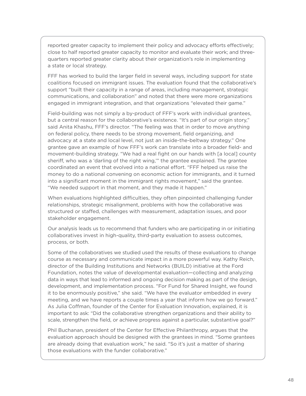reported greater capacity to implement their policy and advocacy efforts effectively; close to half reported greater capacity to monitor and evaluate their work; and threequarters reported greater clarity about their organization's role in implementing a state or local strategy.

FFF has worked to build the larger field in several ways, including support for state coalitions focused on immigrant issues. The evaluation found that the collaborative's support "built their capacity in a range of areas, including management, strategic communications, and collaboration" and noted that there were more organizations engaged in immigrant integration, and that organizations "elevated their game."

Field-building was not simply a by-product of FFF's work with individual grantees, but a central reason for the collaborative's existence. "It's part of our origin story," said Anita Khashu, FFF's director. "The feeling was that in order to move anything on federal policy, there needs to be strong movement, field organizing, and advocacy at a state and local level, not just an inside-the-beltway strategy." One grantee gave an example of how FFF's work can translate into a broader field- and movement-building strategy. "We had a real fight on our hands with [a local] county sheriff, who was a 'darling of the right wing,'" the grantee explained. The grantee coordinated an event that evolved into a national effort. "FFF helped us raise the money to do a national convening on economic action for immigrants, and it turned into a significant moment in the immigrant rights movement," said the grantee. "We needed support in that moment, and they made it happen."

When evaluations highlighted difficulties, they often pinpointed challenging funder relationships, strategic misalignment, problems with how the collaborative was structured or staffed, challenges with measurement, adaptation issues, and poor stakeholder engagement.

Our analysis leads us to recommend that funders who are participating in or initiating collaboratives invest in high-quality, third-party evaluation to assess outcomes, process, or both.

Some of the collaboratives we studied used the results of these evaluations to change course as necessary and communicate impact in a more powerful way. Kathy Reich, director of the Building Institutions and Networks (BUILD) initiative at the Ford Foundation, notes the value of developmental evaluation—collecting and analyzing data in ways that lead to informed and ongoing decision making as part of the design, development, and implementation process. "For Fund for Shared Insight, we found it to be enormously positive," she said. "We have the evaluator embedded in every meeting, and we have reports a couple times a year that inform how we go forward." As Julia Coffman, founder of the Center for Evaluation Innovation, explained, it is important to ask: "Did the collaborative strengthen organizations and their ability to scale, strengthen the field, or achieve progress against a particular, substantive goal?"

Phil Buchanan, president of the Center for Effective Philanthropy, argues that the evaluation approach should be designed with the grantees in mind. "Some grantees are already doing that evaluation work," he said. "So it's just a matter of sharing those evaluations with the funder collaborative."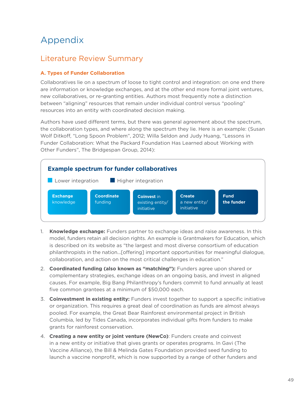# <span id="page-49-1"></span><span id="page-49-0"></span>Appendix

### Literature Review Summary

#### **A. Types of Funder Collaboration**

Collaboratives lie on a spectrum of loose to tight control and integration: on one end there are information or knowledge exchanges, and at the other end more formal joint ventures, new collaboratives, or re-granting entities. Authors most frequently note a distinction between "aligning" resources that remain under individual control versus "pooling" resources into an entity with coordinated decision making.

Authors have used different terms, but there was general agreement about the spectrum, the collaboration types, and where along the spectrum they lie. Here is an example: (Susan Wolf Ditkoff, "Long Spoon Problem", 2012; Willa Seldon and Judy Huang, "Lessons in Funder Collaboration: What the Packard Foundation Has Learned about Working with Other Funders", The Bridgespan Group, 2014):

![](_page_49_Figure_5.jpeg)

- 1. **Knowledge exchange:** Funders partner to exchange ideas and raise awareness. In this model, funders retain all decision rights. An example is Grantmakers for Education, which is described on its website as "the largest and most diverse consortium of education philanthropists in the nation...[offering] important opportunities for meaningful dialogue, collaboration, and action on the most critical challenges in education."
- 2. **Coordinated funding (also known as "matching"):** Funders agree upon shared or complementary strategies, exchange ideas on an ongoing basis, and invest in aligned causes. For example, Big Bang Philanthropy's funders commit to fund annually at least five common grantees at a minimum of \$50,000 each.
- 3. **Coinvestment in existing entity:** Funders invest together to support a specific initiative or organization. This requires a great deal of coordination as funds are almost always pooled. For example, the Great Bear Rainforest environmental project in British Columbia, led by Tides Canada, incorporates individual gifts from funders to make grants for rainforest conservation.
- 4. **Creating a new entity or joint venture (NewCo)**: Funders create and coinvest in a new entity or initiative that gives grants or operates programs. In Gavi (The Vaccine Alliance), the Bill & Melinda Gates Foundation provided seed funding to launch a vaccine nonprofit, which is now supported by a range of other funders and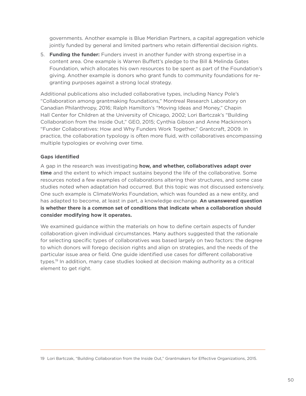governments. Another example is Blue Meridian Partners, a capital aggregation vehicle jointly funded by general and limited partners who retain differential decision rights.

5. **Funding the funder:** Funders invest in another funder with strong expertise in a content area. One example is Warren Buffett's pledge to the Bill & Melinda Gates Foundation, which allocates his own resources to be spent as part of the Foundation's giving. Another example is donors who grant funds to community foundations for regranting purposes against a strong local strategy.

Additional publications also included collaborative types, including Nancy Pole's "Collaboration among grantmaking foundations," Montreal Research Laboratory on Canadian Philanthropy, 2016; Ralph Hamilton's "Moving Ideas and Money," Chapin Hall Center for Children at the University of Chicago, 2002; Lori Bartczak's "Building Collaboration from the Inside Out," GEO, 2015; Cynthia Gibson and Anne Mackinnon's "Funder Collaboratives: How and Why Funders Work Together," Grantcraft, 2009. In practice, the collaboration typology is often more fluid, with collaboratives encompassing multiple typologies or evolving over time.

#### **Gaps identified**

A gap in the research was investigating **how, and whether, collaboratives adapt over time** and the extent to which impact sustains beyond the life of the collaborative. Some resources noted a few examples of collaborations altering their structures, and some case studies noted when adaptation had occurred. But this topic was not discussed extensively. One such example is ClimateWorks Foundation, which was founded as a new entity, and has adapted to become, at least in part, a knowledge exchange. **An unanswered question is whether there is a common set of conditions that indicate when a collaboration should consider modifying how it operates.**

We examined guidance within the materials on how to define certain aspects of funder collaboration given individual circumstances. Many authors suggested that the rationale for selecting specific types of collaboratives was based largely on two factors: the degree to which donors will forego decision rights and align on strategies, and the needs of the particular issue area or field. One guide identified use cases for different collaborative types. 19 In addition, many case studies looked at decision making authority as a critical element to get right.

<sup>19</sup> Lori Bartczak, "Building Collaboration from the Inside Out," Grantmakers for Effective Organizations, 2015.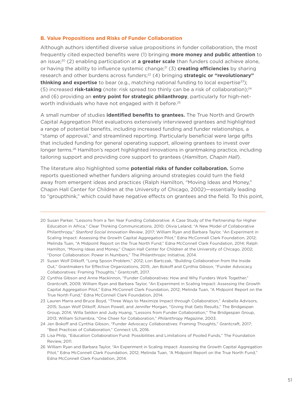#### **B. Value Propositions and Risks of Funder Collaboration**

Although authors identified diverse value propositions in funder collaboration, the most frequently cited expected benefits were (1) bringing **more money and public attention** to an issue;<sup>20</sup> (2) enabling participation at **a greater scale** than funders could achieve alone, or having the ability to influence systemic change;<sup>21</sup> (3) **creating efficiencies** by sharing research and other burdens across funders;<sup>22</sup> (4) bringing **strategic or "revolutionary" thinking and expertise** to bear (e.g., matching national funding to local expertise<sup>23</sup>); (5) increased **risk-taking** (note: risk spread too thinly can be a risk of collaboration);<sup>24</sup> and (6) providing an **entry point for strategic philanthropy**, particularly for high-networth individuals who have not engaged with it before. 25

A small number of studies **identified benefits to grantees.** The True North and Growth Capital Aggregation Pilot evaluations extensively interviewed grantees and highlighted a range of potential benefits, including increased funding and funder relationships, a "stamp of approval," and streamlined reporting. Particularly beneficial were large gifts that included funding for general operating support, allowing grantees to invest over longer terms. 26 Hamilton's report highlighted innovations in grantmaking practice, including tailoring support and providing core support to grantees (*Hamilton, Chapin Hall*).

The literature also highlighted some **potential risks of funder collaboration.** Some reports questioned whether funders aligning around strategies could turn the field away from emergent ideas and practices (Ralph Hamilton, "Moving Ideas and Money," Chapin Hall Center for Children at the University of Chicago, 2002)—essentially leading to "groupthink," which could have negative effects on grantees and the field. To this point,

- 22 Cynthia Gibson and Anne Mackinnon, "Funder Collaboratives: How and Why Funders Work Together," Grantcraft, 2009; William Ryan and Barbara Taylor, "An Experiment in Scaling Impact: Assessing the Growth Capital Aggregation Pilot," Edna McConnell Clark Foundation, 2012; Melinda Tuan, "A Midpoint Report on the True North Fund," Edna McConnell Clark Foundation, 2014.
- 23 Lauren Marra and Bruce Boyd, "Three Ways to Maximize Impact through Collaboration," Arabella Advisors, 2015; Susan Wolf Ditkoff, Alison Powell, and Jennifer Morgan, "Giving that Gets Results," The Bridgespan Group, 2014; Willa Seldon and Judy Huang, "Lessons from Funder Collaboration," The Bridgespan Group, 2013; William Schambra, "One Cheer for Collaboration," *Philanthropy Magazine*, 2003.
- 24 Jen Bokoff and Cynthia Gibson, "Funder Advocacy Collaboratives: Framing Thoughts," Grantcraft, 2017; "Best Practices of Collaboration," Connect US, 2016.
- 25 Lisa Philp, "Education Collaboration Fund: Possibilities and Limitations of Pooled Funds," The Foundation Review, 2011.
- 26 William Ryan and Barbara Taylor, "An Experiment in Scaling Impact: Assessing the Growth Capital Aggregation Pilot," Edna McConnell Clark Foundation, 2012; Melinda Tuan, "A Midpoint Report on the True North Fund," Edna McConnell Clark Foundation, 2014.

<sup>20</sup> Susan Parker, "Lessons from a Ten Year Funding Collaborative: A Case Study of the Partnership for Higher Education in Africa," Clear Thinking Communications, 2010; Olivia Leland, "A New Model of Collaborative Philanthropy," *Stanford Social Innovation Review*, 2017; William Ryan and Barbara Taylor, "An Experiment in Scaling Impact: Assessing the Growth Capital Aggregation Pilot," Edna McConnell Clark Foundation, 2012; Melinda Tuan, "A Midpoint Report on the True North Fund," Edna McConnell Clark Foundation, 2014; Ralph Hamilton, "Moving Ideas and Money," Chapin Hall Center for Children at the University of Chicago, 2002; "Donor Collaboration: Power in Numbers," The Philanthropic Initiative, 2014.

<sup>21</sup> Susan Wolf Ditkoff, "Long Spoon Problem," 2012; Lori Bartczak, "Building Collaboration from the Inside Out," Grantmakers for Effective Organizations, 2015; Jen Bokoff and Cynthia Gibson, "Funder Advocacy Collaboratives: Framing Thoughts," Grantcraft, 2017.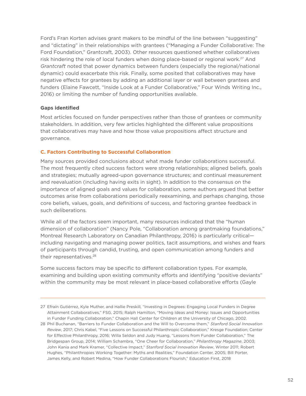Ford's Fran Korten advises grant makers to be mindful of the line between "suggesting" and "dictating" in their relationships with grantees ("Managing a Funder Collaborative: The Ford Foundation," Grantcraft*,* 2003). Other resources questioned whether collaboratives risk hindering the role of local funders when doing place-based or regional work. 27 And *Grantcraft* noted that power dynamics between funders (especially the regional/national dynamic) could exacerbate this risk. Finally, some posited that collaboratives may have negative effects for grantees by adding an additional layer or wall between grantees and funders (Elaine Fawcett, "Inside Look at a Funder Collaborative," Four Winds Writing Inc., 2016) or limiting the number of funding opportunities available.

#### **Gaps identified**

Most articles focused on funder perspectives rather than those of grantees or community stakeholders. In addition, very few articles highlighted the different value propositions that collaboratives may have and how those value propositions affect structure and governance.

#### **C. Factors Contributing to Successful Collaboration**

Many sources provided conclusions about what made funder collaborations successful. The most frequently cited success factors were strong relationships; aligned beliefs, goals and strategies; mutually agreed-upon governance structures; and continual measurement and reevaluation (including having exits in sight). In addition to the consensus on the importance of aligned goals and values for collaboration, some authors argued that better outcomes arise from collaborations periodically reexamining, and perhaps changing, those core beliefs, values, goals, and definitions of success, and factoring grantee feedback in such deliberations.

While all of the factors seem important, many resources indicated that the "human dimension of collaboration" (Nancy Pole, "Collaboration among grantmaking foundations," Montreal Research Laboratory on Canadian Philanthropy, 2016) is particularly critical including navigating and managing power politics, tacit assumptions, and wishes and fears of participants through candid, trusting, and open communication among funders and their representatives. 28

Some success factors may be specific to different collaboration types. For example, examining and building upon existing community efforts and identifying "positive deviants" within the community may be most relevant in place-based collaborative efforts (Gayle

<sup>27</sup> Efraín Gutiérrez, Kyle Muther, and Hallie Preskill, "Investing in Degrees: Engaging Local Funders in Degree Attainment Collaboratives," FSG, 2015; Ralph Hamilton, "Moving Ideas and Money: Issues and Opportunities in Funder Funding Collaboration," Chapin Hall Center for Children at the University of Chicago, 2002.

<sup>28</sup> Phil Buchanan, "Barriers to Funder Collaboration and the Will to Overcome them," *Stanford Social Innovation Review*, 2017; Chris Kabel, "Five Lessons on Successful Philanthropic Collaboration," Kresge Foundation; Center for Effective Philanthropy, 2016; Willa Seldon and Judy Huang, "Lessons from Funder Collaboration," The Bridgespan Group, 2014; William Schambra, "One Cheer for Collaboration," *Philanthropy Magazine*, 2003; John Kania and Mark Kramer, "Collective Impact," *Stanford Social Innovation Review*, Winter 2011; Robert Hughes, "Philanthropies Working Together: Myths and Realities," Foundation Center, 2005; Bill Porter, James Kelly, and Robert Medina, "How Funder Collaborations Flourish," Education First, 2018